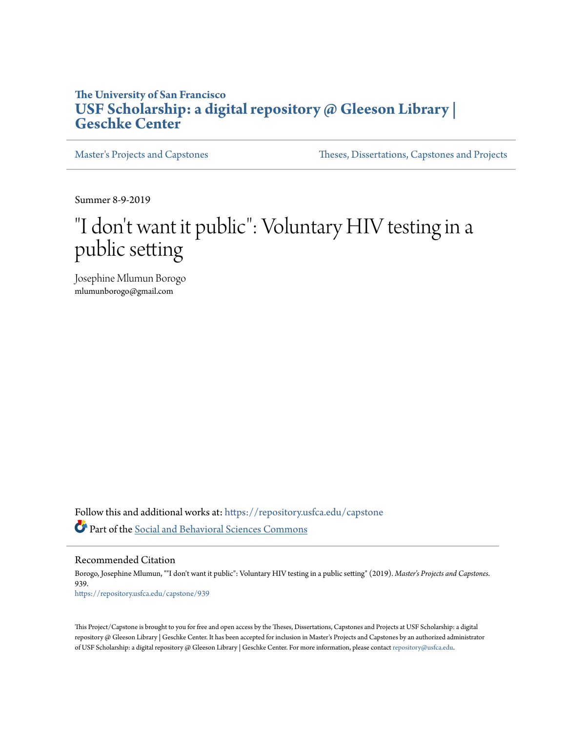# **The University of San Francisco [USF Scholarship: a digital repository @ Gleeson Library |](https://repository.usfca.edu?utm_source=repository.usfca.edu%2Fcapstone%2F939&utm_medium=PDF&utm_campaign=PDFCoverPages) [Geschke Center](https://repository.usfca.edu?utm_source=repository.usfca.edu%2Fcapstone%2F939&utm_medium=PDF&utm_campaign=PDFCoverPages)**

[Master's Projects and Capstones](https://repository.usfca.edu/capstone?utm_source=repository.usfca.edu%2Fcapstone%2F939&utm_medium=PDF&utm_campaign=PDFCoverPages) [Theses, Dissertations, Capstones and Projects](https://repository.usfca.edu/etd?utm_source=repository.usfca.edu%2Fcapstone%2F939&utm_medium=PDF&utm_campaign=PDFCoverPages)

Summer 8-9-2019

# "I don't want it public": Voluntary HIV testing in a public setting

Josephine Mlumun Borogo mlumunborogo@gmail.com

Follow this and additional works at: [https://repository.usfca.edu/capstone](https://repository.usfca.edu/capstone?utm_source=repository.usfca.edu%2Fcapstone%2F939&utm_medium=PDF&utm_campaign=PDFCoverPages) Part of the [Social and Behavioral Sciences Commons](http://network.bepress.com/hgg/discipline/316?utm_source=repository.usfca.edu%2Fcapstone%2F939&utm_medium=PDF&utm_campaign=PDFCoverPages)

Recommended Citation

Borogo, Josephine Mlumun, ""I don't want it public": Voluntary HIV testing in a public setting" (2019). *Master's Projects and Capstones*. 939. [https://repository.usfca.edu/capstone/939](https://repository.usfca.edu/capstone/939?utm_source=repository.usfca.edu%2Fcapstone%2F939&utm_medium=PDF&utm_campaign=PDFCoverPages)

This Project/Capstone is brought to you for free and open access by the Theses, Dissertations, Capstones and Projects at USF Scholarship: a digital repository @ Gleeson Library | Geschke Center. It has been accepted for inclusion in Master's Projects and Capstones by an authorized administrator of USF Scholarship: a digital repository @ Gleeson Library | Geschke Center. For more information, please contact [repository@usfca.edu](mailto:repository@usfca.edu).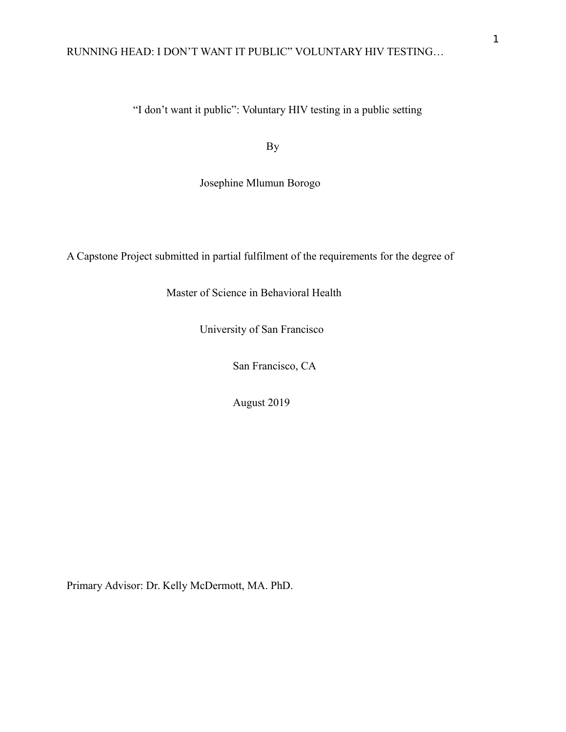"I don't want it public": Voluntary HIV testing in a public setting

By

Josephine Mlumun Borogo

A Capstone Project submitted in partial fulfilment of the requirements for the degree of

Master of Science in Behavioral Health

University of San Francisco

San Francisco, CA

August 2019

Primary Advisor: Dr. Kelly McDermott, MA. PhD.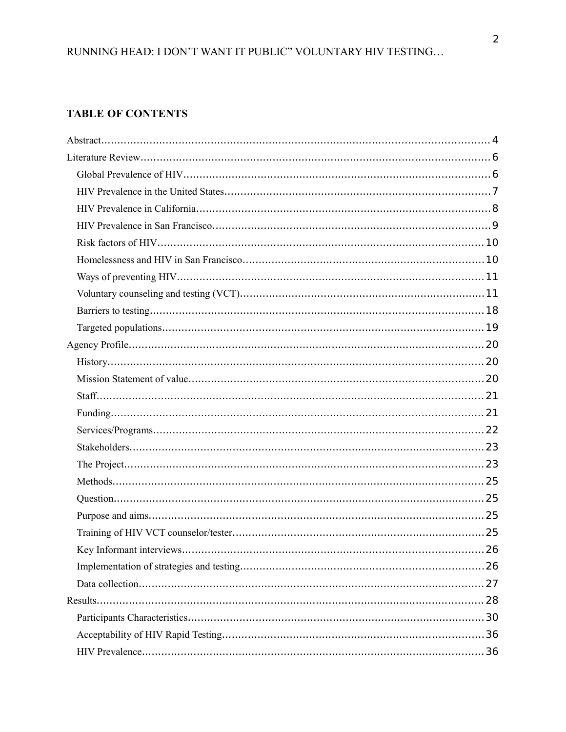# **TABLE OF CONTENTS**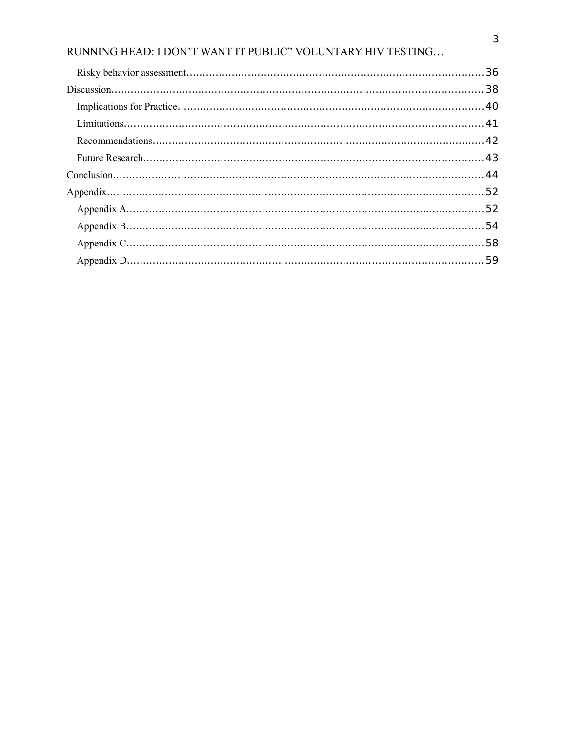| $Conclusion. \dots 144$ |  |
|-------------------------|--|
|                         |  |
|                         |  |
|                         |  |
|                         |  |
|                         |  |
|                         |  |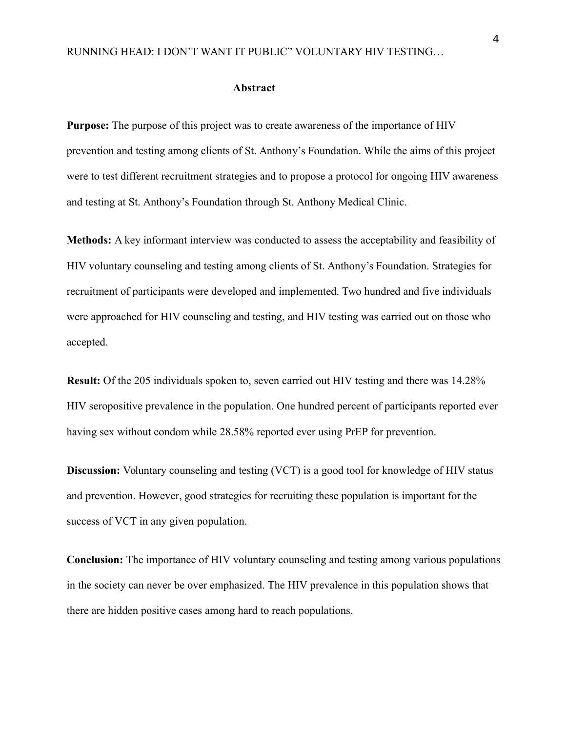#### <span id="page-4-0"></span>**Abstract**

**Purpose:** The purpose of this project was to create awareness of the importance of HIV prevention and testing among clients of St. Anthony's Foundation. While the aims of this project were to test different recruitment strategies and to propose a protocol for ongoing HIV awareness and testing at St. Anthony's Foundation through St. Anthony Medical Clinic.

**Methods:** A key informant interview was conducted to assess the acceptability and feasibility of HIV voluntary counseling and testing among clients of St. Anthony's Foundation. Strategies for recruitment of participants were developed and implemented. Two hundred and five individuals were approached for HIV counseling and testing, and HIV testing was carried out on those who accepted.

**Result:** Of the 205 individuals spoken to, seven carried out HIV testing and there was 14.28% HIV seropositive prevalence in the population. One hundred percent of participants reported ever having sex without condom while 28.58% reported ever using PrEP for prevention.

**Discussion:** Voluntary counseling and testing (VCT) is a good tool for knowledge of HIV status and prevention. However, good strategies for recruiting these population is important for the success of VCT in any given population.

**Conclusion:** The importance of HIV voluntary counseling and testing among various populations in the society can never be over emphasized. The HIV prevalence in this population shows that there are hidden positive cases among hard to reach populations.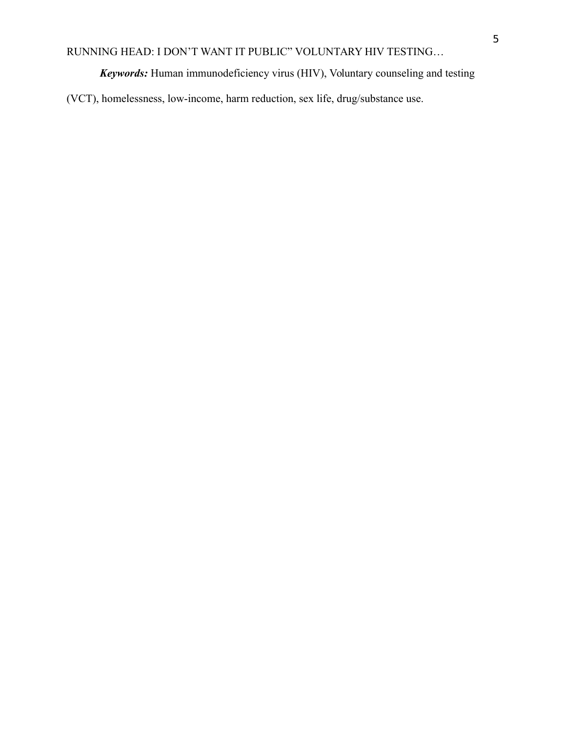*Keywords:* Human immunodeficiency virus (HIV), Voluntary counseling and testing

(VCT), homelessness, low-income, harm reduction, sex life, drug/substance use.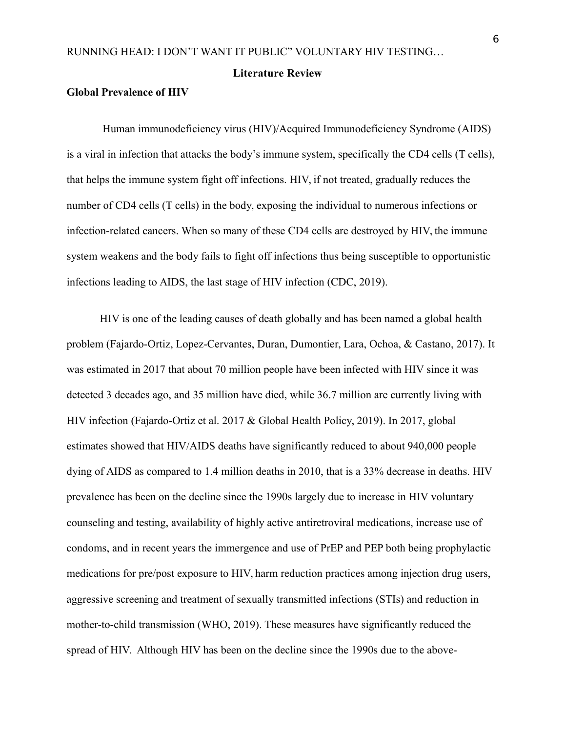#### <span id="page-6-0"></span>**Literature Review**

# <span id="page-6-1"></span>**Global Prevalence of HIV**

Human immunodeficiency virus (HIV)/Acquired Immunodeficiency Syndrome (AIDS) is a viral in infection that attacks the body's immune system, specifically the CD4 cells (T cells), that helps the immune system fight off infections. HIV, if not treated, gradually reduces the number of CD4 cells (T cells) in the body, exposing the individual to numerous infections or infection-related cancers. When so many of these CD4 cells are destroyed by HIV, the immune system weakens and the body fails to fight off infections thus being susceptible to opportunistic infections leading to AIDS, the last stage of HIV infection (CDC, 2019).

HIV is one of the leading causes of death globally and has been named a global health problem (Fajardo-Ortiz, Lopez-Cervantes, Duran, Dumontier, Lara, Ochoa, & Castano, 2017). It was estimated in 2017 that about 70 million people have been infected with HIV since it was detected 3 decades ago, and 35 million have died, while 36.7 million are currently living with HIV infection (Fajardo-Ortiz et al. 2017 & Global Health Policy, 2019). In 2017, global estimates showed that HIV/AIDS deaths have significantly reduced to about 940,000 people dying of AIDS as compared to 1.4 million deaths in 2010, that is a 33% decrease in deaths. HIV prevalence has been on the decline since the 1990s largely due to increase in HIV voluntary counseling and testing, availability of highly active antiretroviral medications, increase use of condoms, and in recent years the immergence and use of PrEP and PEP both being prophylactic medications for pre/post exposure to HIV, harm reduction practices among injection drug users, aggressive screening and treatment of sexually transmitted infections (STIs) and reduction in mother-to-child transmission (WHO, 2019). These measures have significantly reduced the spread of HIV. Although HIV has been on the decline since the 1990s due to the above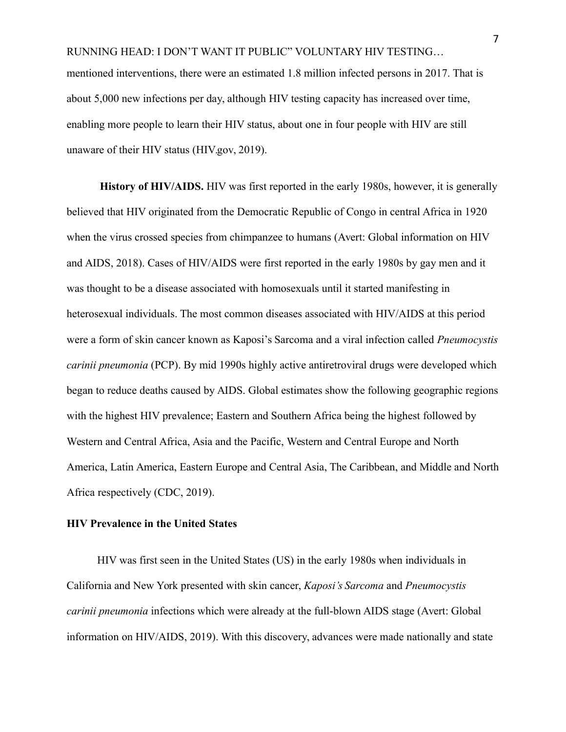RUNNING HEAD: I DON'T WANT IT PUBLIC" VOLUNTARY HIV TESTING… mentioned interventions, there were an estimated 1.8 million infected persons in 2017. That is about 5,000 new infections per day, although HIV testing capacity has increased over time, enabling more people to learn their HIV status, about one in four people with HIV are still unaware of their HIV status (HIV.gov, 2019).

**History of HIV/AIDS.** HIV was first reported in the early 1980s, however, it is generally believed that HIV originated from the Democratic Republic of Congo in central Africa in 1920 when the virus crossed species from chimpanzee to humans (Avert: Global information on HIV and AIDS, 2018). Cases of HIV/AIDS were first reported in the early 1980s by gay men and it was thought to be a disease associated with homosexuals until it started manifesting in heterosexual individuals. The most common diseases associated with HIV/AIDS at this period were a form of skin cancer known as Kaposi's Sarcoma and a viral infection called *Pneumocystis carinii pneumonia* (PCP). By mid 1990s highly active antiretroviral drugs were developed which began to reduce deaths caused by AIDS. Global estimates show the following geographic regions with the highest HIV prevalence; Eastern and Southern Africa being the highest followed by Western and Central Africa, Asia and the Pacific, Western and Central Europe and North America, Latin America, Eastern Europe and Central Asia, The Caribbean, and Middle and North Africa respectively (CDC, 2019).

# <span id="page-7-0"></span>**HIV Prevalence in the United States**

HIV was first seen in the United States (US) in the early 1980s when individuals in California and New York presented with skin cancer, *Kaposi's Sarcoma* and *Pneumocystis carinii pneumonia* infections which were already at the full-blown AIDS stage (Avert: Global information on HIV/AIDS, 2019). With this discovery, advances were made nationally and state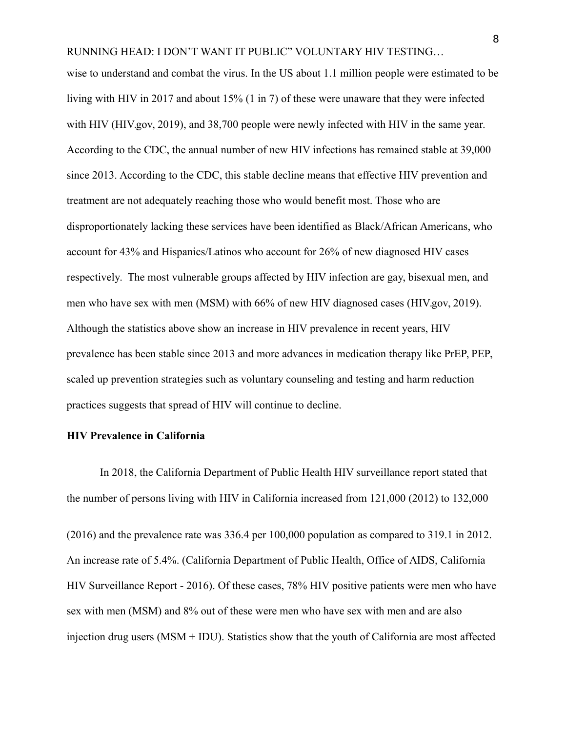wise to understand and combat the virus. In the US about 1.1 million people were estimated to be living with HIV in 2017 and about 15% (1 in 7) of these were unaware that they were infected with HIV (HIV.gov, 2019), and 38,700 people were newly infected with HIV in the same year. According to the CDC, the annual number of new HIV infections has remained stable at 39,000 since 2013. According to the CDC, this stable decline means that effective HIV prevention and treatment are not adequately reaching those who would benefit most. Those who are disproportionately lacking these services have been identified as Black/African Americans, who account for 43% and Hispanics/Latinos who account for 26% of new diagnosed HIV cases respectively. The most vulnerable groups affected by HIV infection are gay, bisexual men, and men who have sex with men (MSM) with 66% of new HIV diagnosed cases (HIV.gov, 2019). Although the statistics above show an increase in HIV prevalence in recent years, HIV prevalence has been stable since 2013 and more advances in medication therapy like PrEP, PEP, scaled up prevention strategies such as voluntary counseling and testing and harm reduction practices suggests that spread of HIV will continue to decline.

#### <span id="page-8-0"></span>**HIV Prevalence in California**

In 2018, the California Department of Public Health HIV surveillance report stated that the number of persons living with HIV in California increased from 121,000 (2012) to 132,000

(2016) and the prevalence rate was 336.4 per 100,000 population as compared to 319.1 in 2012. An increase rate of 5.4%. (California Department of Public Health, Office of AIDS, California HIV Surveillance Report - 2016). Of these cases, 78% HIV positive patients were men who have sex with men (MSM) and 8% out of these were men who have sex with men and are also injection drug users (MSM + IDU). Statistics show that the youth of California are most affected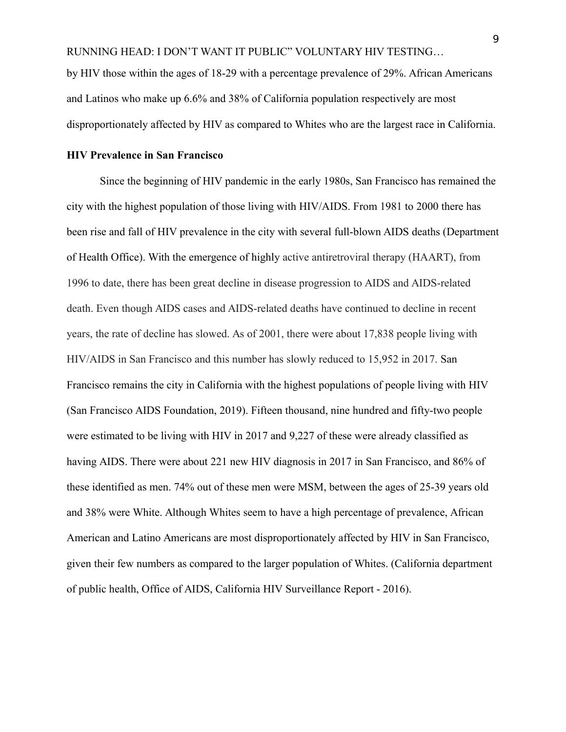by HIV those within the ages of 18-29 with a percentage prevalence of 29%. African Americans and Latinos who make up 6.6% and 38% of California population respectively are most disproportionately affected by HIV as compared to Whites who are the largest race in California.

# <span id="page-9-0"></span>**HIV Prevalence in San Francisco**

Since the beginning of HIV pandemic in the early 1980s, San Francisco has remained the city with the highest population of those living with HIV/AIDS. From 1981 to 2000 there has been rise and fall of HIV prevalence in the city with several full-blown AIDS deaths (Department of Health Office). With the emergence of highly active antiretroviral therapy (HAART), from 1996 to date, there has been great decline in disease progression to AIDS and AIDS-related death. Even though AIDS cases and AIDS-related deaths have continued to decline in recent years, the rate of decline has slowed. As of 2001, there were about 17,838 people living with HIV/AIDS in San Francisco and this number has slowly reduced to 15,952 in 2017. San Francisco remains the city in California with the highest populations of people living with HIV (San Francisco AIDS Foundation, 2019). Fifteen thousand, nine hundred and fifty-two people were estimated to be living with HIV in 2017 and 9,227 of these were already classified as having AIDS. There were about 221 new HIV diagnosis in 2017 in San Francisco, and 86% of these identified as men. 74% out of these men were MSM, between the ages of 25-39 years old and 38% were White. Although Whites seem to have a high percentage of prevalence, African American and Latino Americans are most disproportionately affected by HIV in San Francisco, given their few numbers as compared to the larger population of Whites. (California department of public health, Office of AIDS, California HIV Surveillance Report - 2016).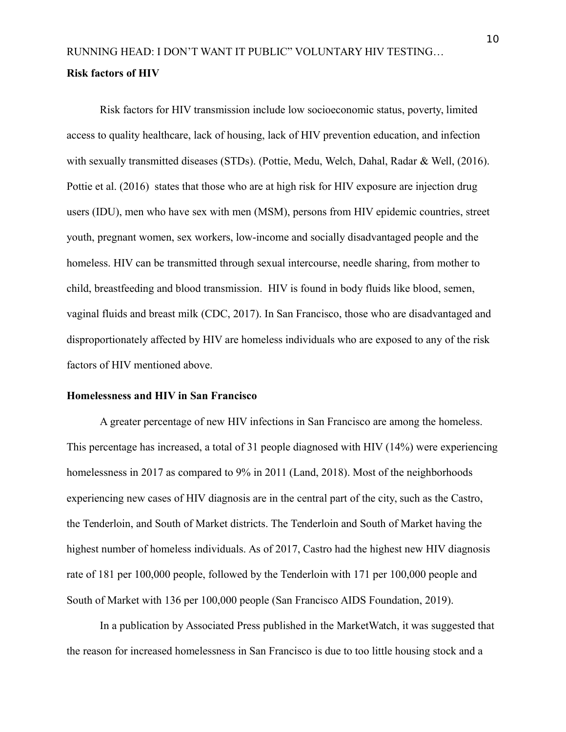# <span id="page-10-0"></span>RUNNING HEAD: I DON'T WANT IT PUBLIC" VOLUNTARY HIV TESTING… **Risk factors of HIV**

Risk factors for HIV transmission include low socioeconomic status, poverty, limited access to quality healthcare, lack of housing, lack of HIV prevention education, and infection with sexually transmitted diseases (STDs). (Pottie, Medu, Welch, Dahal, Radar & Well, (2016). Pottie et al. (2016) states that those who are at high risk for HIV exposure are injection drug users (IDU), men who have sex with men (MSM), persons from HIV epidemic countries, street youth, pregnant women, sex workers, low-income and socially disadvantaged people and the homeless. HIV can be transmitted through sexual intercourse, needle sharing, from mother to child, breastfeeding and blood transmission. HIV is found in body fluids like blood, semen, vaginal fluids and breast milk (CDC, 2017). In San Francisco, those who are disadvantaged and disproportionately affected by HIV are homeless individuals who are exposed to any of the risk factors of HIV mentioned above.

# <span id="page-10-1"></span>**Homelessness and HIV in San Francisco**

A greater percentage of new HIV infections in San Francisco are among the homeless. This percentage has increased, a total of 31 people diagnosed with HIV (14%) were experiencing homelessness in 2017 as compared to 9% in 2011 (Land, 2018). Most of the neighborhoods experiencing new cases of HIV diagnosis are in the central part of the city, such as the Castro, the Tenderloin, and South of Market districts. The Tenderloin and South of Market having the highest number of homeless individuals. As of 2017, Castro had the highest new HIV diagnosis rate of 181 per 100,000 people, followed by the Tenderloin with 171 per 100,000 people and South of Market with 136 per 100,000 people (San Francisco AIDS Foundation, 2019).

In a publication by Associated Press published in the MarketWatch, it was suggested that the reason for increased homelessness in San Francisco is due to too little housing stock and a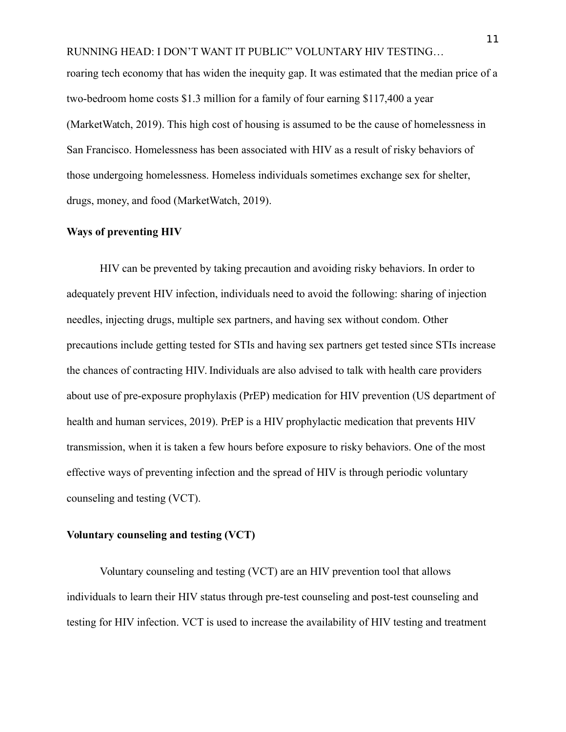RUNNING HEAD: I DON'T WANT IT PUBLIC" VOLUNTARY HIV TESTING… roaring tech economy that has widen the inequity gap. It was estimated that the median price of a two-bedroom home costs \$1.3 million for a family of four earning \$117,400 a year (MarketWatch, 2019). This high cost of housing is assumed to be the cause of homelessness in San Francisco. Homelessness has been associated with HIV as a result of risky behaviors of those undergoing homelessness. Homeless individuals sometimes exchange sex for shelter, drugs, money, and food (MarketWatch, 2019).

# <span id="page-11-0"></span>**Ways of preventing HIV**

HIV can be prevented by taking precaution and avoiding risky behaviors. In order to adequately prevent HIV infection, individuals need to avoid the following: sharing of injection needles, injecting drugs, multiple sex partners, and having sex without condom. Other precautions include getting tested for STIs and having sex partners get tested since STIs increase the chances of contracting HIV. Individuals are also advised to talk with health care providers about use of pre-exposure prophylaxis (PrEP) medication for HIV prevention (US department of health and human services, 2019). PrEP is a HIV prophylactic medication that prevents HIV transmission, when it is taken a few hours before exposure to risky behaviors. One of the most effective ways of preventing infection and the spread of HIV is through periodic voluntary counseling and testing (VCT).

### <span id="page-11-1"></span>**Voluntary counseling and testing (VCT)**

Voluntary counseling and testing (VCT) are an HIV prevention tool that allows individuals to learn their HIV status through pre-test counseling and post-test counseling and testing for HIV infection. VCT is used to increase the availability of HIV testing and treatment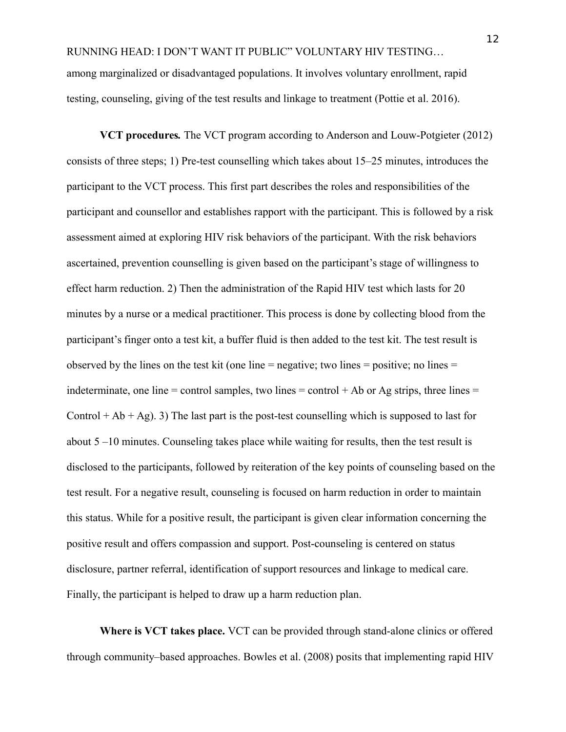RUNNING HEAD: I DON'T WANT IT PUBLIC" VOLUNTARY HIV TESTING… among marginalized or disadvantaged populations. It involves voluntary enrollment, rapid testing, counseling, giving of the test results and linkage to treatment (Pottie et al. 2016).

**VCT procedures***.* The VCT program according to Anderson and Louw-Potgieter (2012) consists of three steps; 1) Pre-test counselling which takes about 15–25 minutes, introduces the participant to the VCT process. This first part describes the roles and responsibilities of the participant and counsellor and establishes rapport with the participant. This is followed by a risk assessment aimed at exploring HIV risk behaviors of the participant. With the risk behaviors ascertained, prevention counselling is given based on the participant's stage of willingness to effect harm reduction. 2) Then the administration of the Rapid HIV test which lasts for 20 minutes by a nurse or a medical practitioner. This process is done by collecting blood from the participant's finger onto a test kit, a buffer fluid is then added to the test kit. The test result is observed by the lines on the test kit (one line  $=$  negative; two lines  $=$  positive; no lines  $=$ indeterminate, one line = control samples, two lines = control + Ab or Ag strips, three lines = Control + Ab + Ag). 3) The last part is the post-test counselling which is supposed to last for about 5 –10 minutes. Counseling takes place while waiting for results, then the test result is disclosed to the participants, followed by reiteration of the key points of counseling based on the test result. For a negative result, counseling is focused on harm reduction in order to maintain this status. While for a positive result, the participant is given clear information concerning the positive result and offers compassion and support. Post-counseling is centered on status disclosure, partner referral, identification of support resources and linkage to medical care. Finally, the participant is helped to draw up a harm reduction plan.

**Where is VCT takes place.** VCT can be provided through stand-alone clinics or offered through community–based approaches. Bowles et al. (2008) posits that implementing rapid HIV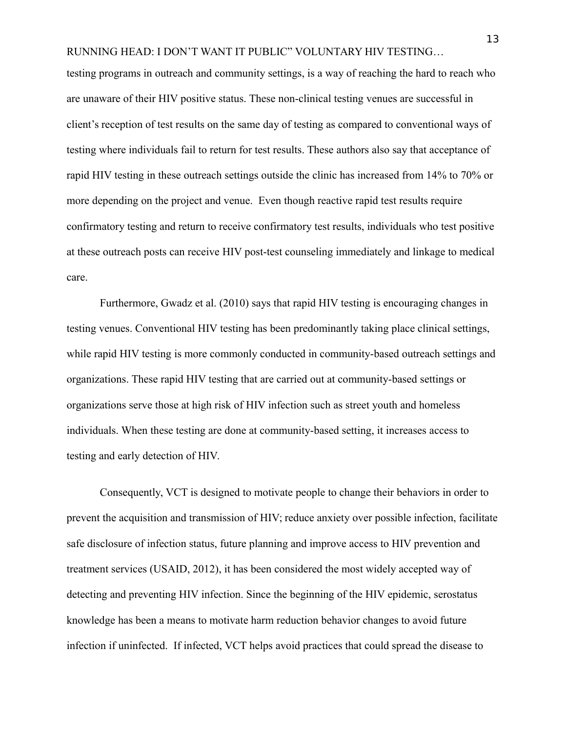testing programs in outreach and community settings, is a way of reaching the hard to reach who are unaware of their HIV positive status. These non-clinical testing venues are successful in client's reception of test results on the same day of testing as compared to conventional ways of testing where individuals fail to return for test results. These authors also say that acceptance of rapid HIV testing in these outreach settings outside the clinic has increased from 14% to 70% or more depending on the project and venue. Even though reactive rapid test results require confirmatory testing and return to receive confirmatory test results, individuals who test positive at these outreach posts can receive HIV post-test counseling immediately and linkage to medical care.

Furthermore, Gwadz et al. (2010) says that rapid HIV testing is encouraging changes in testing venues. Conventional HIV testing has been predominantly taking place clinical settings, while rapid HIV testing is more commonly conducted in community-based outreach settings and organizations. These rapid HIV testing that are carried out at community-based settings or organizations serve those at high risk of HIV infection such as street youth and homeless individuals. When these testing are done at community-based setting, it increases access to testing and early detection of HIV.

Consequently, VCT is designed to motivate people to change their behaviors in order to prevent the acquisition and transmission of HIV; reduce anxiety over possible infection, facilitate safe disclosure of infection status, future planning and improve access to HIV prevention and treatment services (USAID, 2012), it has been considered the most widely accepted way of detecting and preventing HIV infection. Since the beginning of the HIV epidemic, serostatus knowledge has been a means to motivate harm reduction behavior changes to avoid future infection if uninfected. If infected, VCT helps avoid practices that could spread the disease to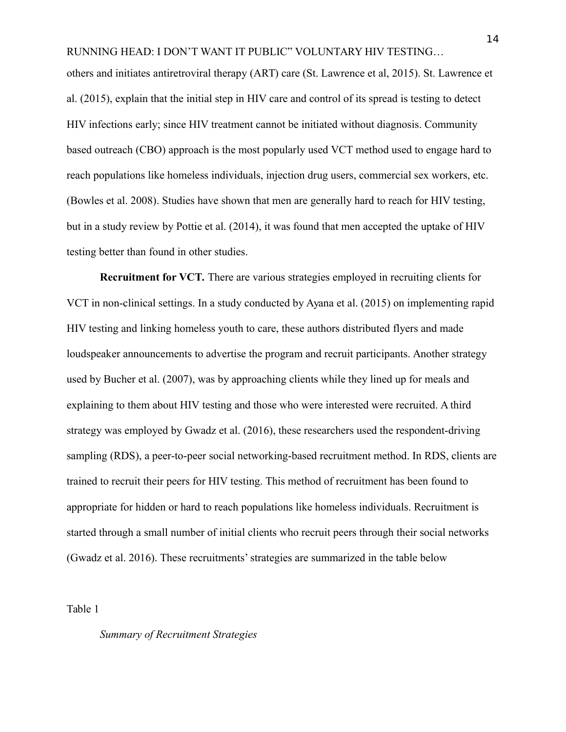others and initiates antiretroviral therapy (ART) care (St. Lawrence et al, 2015). St. Lawrence et al. (2015), explain that the initial step in HIV care and control of its spread is testing to detect HIV infections early; since HIV treatment cannot be initiated without diagnosis. Community based outreach (CBO) approach is the most popularly used VCT method used to engage hard to reach populations like homeless individuals, injection drug users, commercial sex workers, etc. (Bowles et al. 2008). Studies have shown that men are generally hard to reach for HIV testing, but in a study review by Pottie et al. (2014), it was found that men accepted the uptake of HIV testing better than found in other studies.

**Recruitment for VCT***.* There are various strategies employed in recruiting clients for VCT in non-clinical settings. In a study conducted by Ayana et al. (2015) on implementing rapid HIV testing and linking homeless youth to care, these authors distributed flyers and made loudspeaker announcements to advertise the program and recruit participants. Another strategy used by Bucher et al. (2007), was by approaching clients while they lined up for meals and explaining to them about HIV testing and those who were interested were recruited. A third strategy was employed by Gwadz et al. (2016), these researchers used the respondent-driving sampling (RDS), a peer-to-peer social networking-based recruitment method. In RDS, clients are trained to recruit their peers for HIV testing. This method of recruitment has been found to appropriate for hidden or hard to reach populations like homeless individuals. Recruitment is started through a small number of initial clients who recruit peers through their social networks (Gwadz et al. 2016). These recruitments' strategies are summarized in the table below

Table 1

# *Summary of Recruitment Strategies*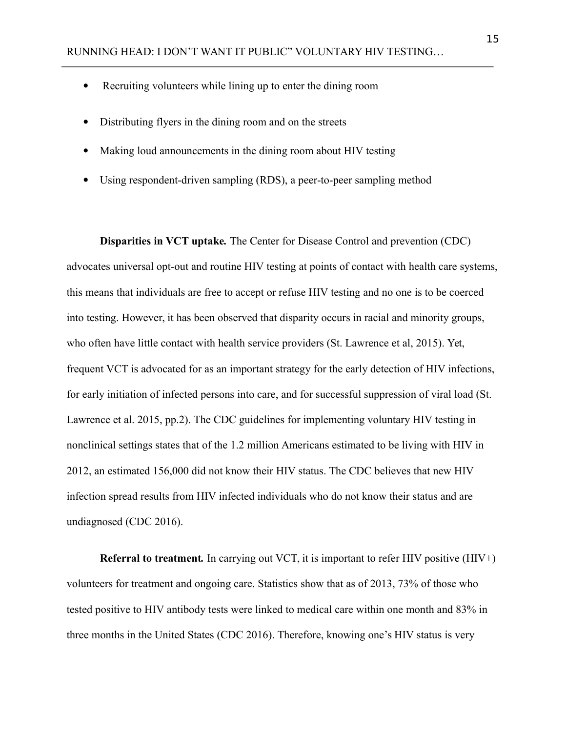- Recruiting volunteers while lining up to enter the dining room
- Distributing flyers in the dining room and on the streets
- Making loud announcements in the dining room about HIV testing
- Using respondent-driven sampling (RDS), a peer-to-peer sampling method

**Disparities in VCT uptake***.* The Center for Disease Control and prevention (CDC) advocates universal opt-out and routine HIV testing at points of contact with health care systems, this means that individuals are free to accept or refuse HIV testing and no one is to be coerced into testing. However, it has been observed that disparity occurs in racial and minority groups, who often have little contact with health service providers (St. Lawrence et al, 2015). Yet, frequent VCT is advocated for as an important strategy for the early detection of HIV infections, for early initiation of infected persons into care, and for successful suppression of viral load (St. Lawrence et al. 2015, pp.2). The CDC guidelines for implementing voluntary HIV testing in nonclinical settings states that of the 1.2 million Americans estimated to be living with HIV in 2012, an estimated 156,000 did not know their HIV status. The CDC believes that new HIV infection spread results from HIV infected individuals who do not know their status and are undiagnosed (CDC 2016).

**Referral to treatment***.* In carrying out VCT, it is important to refer HIV positive (HIV+) volunteers for treatment and ongoing care. Statistics show that as of 2013, 73% of those who tested positive to HIV antibody tests were linked to medical care within one month and 83% in three months in the United States (CDC 2016). Therefore, knowing one's HIV status is very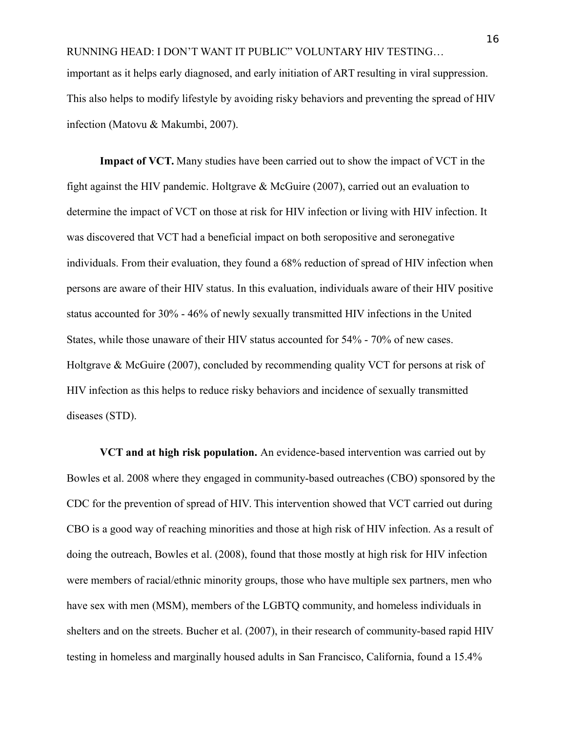important as it helps early diagnosed, and early initiation of ART resulting in viral suppression. This also helps to modify lifestyle by avoiding risky behaviors and preventing the spread of HIV infection (Matovu & Makumbi, 2007).

**Impact of VCT.** Many studies have been carried out to show the impact of VCT in the fight against the HIV pandemic. Holtgrave & McGuire (2007), carried out an evaluation to determine the impact of VCT on those at risk for HIV infection or living with HIV infection. It was discovered that VCT had a beneficial impact on both seropositive and seronegative individuals. From their evaluation, they found a 68% reduction of spread of HIV infection when persons are aware of their HIV status. In this evaluation, individuals aware of their HIV positive status accounted for 30% - 46% of newly sexually transmitted HIV infections in the United States, while those unaware of their HIV status accounted for 54% - 70% of new cases. Holtgrave & McGuire (2007), concluded by recommending quality VCT for persons at risk of HIV infection as this helps to reduce risky behaviors and incidence of sexually transmitted diseases (STD).

**VCT and at high risk population.** An evidence-based intervention was carried out by Bowles et al. 2008 where they engaged in community-based outreaches (CBO) sponsored by the CDC for the prevention of spread of HIV. This intervention showed that VCT carried out during CBO is a good way of reaching minorities and those at high risk of HIV infection. As a result of doing the outreach, Bowles et al. (2008), found that those mostly at high risk for HIV infection were members of racial/ethnic minority groups, those who have multiple sex partners, men who have sex with men (MSM), members of the LGBTQ community, and homeless individuals in shelters and on the streets. Bucher et al. (2007), in their research of community-based rapid HIV testing in homeless and marginally housed adults in San Francisco, California, found a 15.4%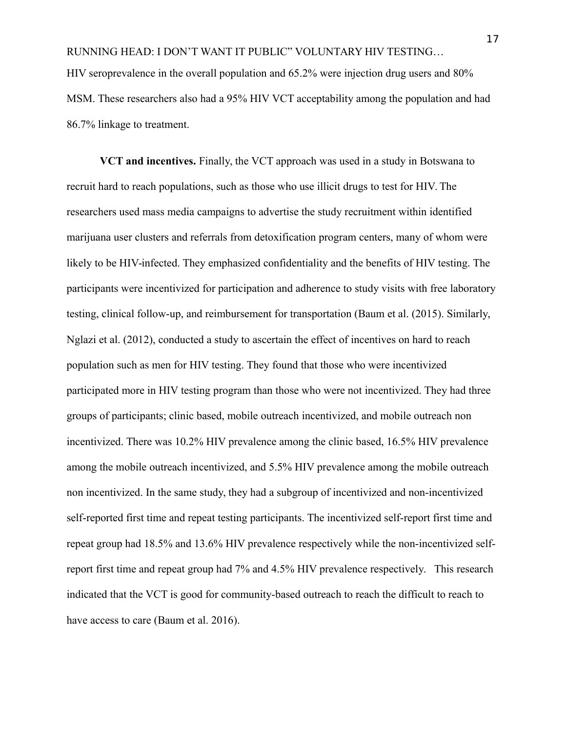**VCT and incentives.** Finally, the VCT approach was used in a study in Botswana to recruit hard to reach populations, such as those who use illicit drugs to test for HIV. The researchers used mass media campaigns to advertise the study recruitment within identified marijuana user clusters and referrals from detoxification program centers, many of whom were likely to be HIV-infected. They emphasized confidentiality and the benefits of HIV testing. The participants were incentivized for participation and adherence to study visits with free laboratory testing, clinical follow-up, and reimbursement for transportation (Baum et al. (2015). Similarly, Nglazi et al. (2012), conducted a study to ascertain the effect of incentives on hard to reach population such as men for HIV testing. They found that those who were incentivized participated more in HIV testing program than those who were not incentivized. They had three groups of participants; clinic based, mobile outreach incentivized, and mobile outreach non incentivized. There was 10.2% HIV prevalence among the clinic based, 16.5% HIV prevalence among the mobile outreach incentivized, and 5.5% HIV prevalence among the mobile outreach non incentivized. In the same study, they had a subgroup of incentivized and non-incentivized self-reported first time and repeat testing participants. The incentivized self-report first time and repeat group had 18.5% and 13.6% HIV prevalence respectively while the non-incentivized selfreport first time and repeat group had 7% and 4.5% HIV prevalence respectively. This research indicated that the VCT is good for community-based outreach to reach the difficult to reach to have access to care (Baum et al. 2016).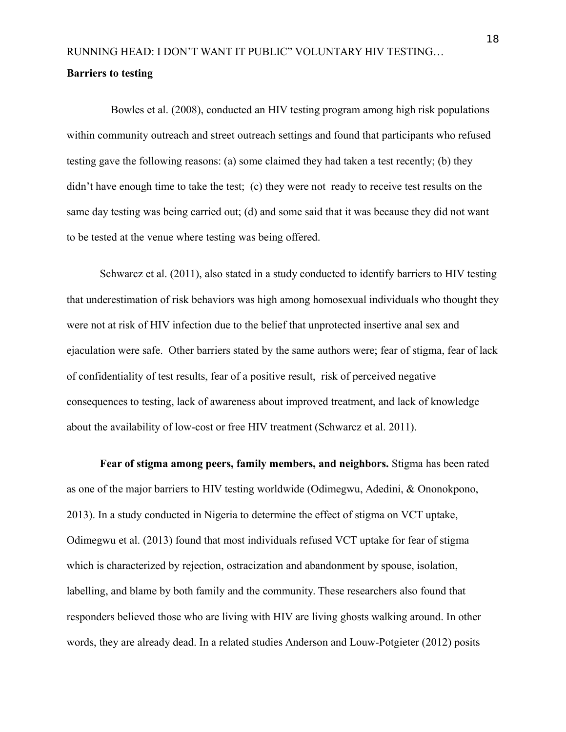# <span id="page-18-0"></span>RUNNING HEAD: I DON'T WANT IT PUBLIC" VOLUNTARY HIV TESTING… **Barriers to testing**

 Bowles et al. (2008), conducted an HIV testing program among high risk populations within community outreach and street outreach settings and found that participants who refused testing gave the following reasons: (a) some claimed they had taken a test recently; (b) they didn't have enough time to take the test; (c) they were not ready to receive test results on the same day testing was being carried out; (d) and some said that it was because they did not want to be tested at the venue where testing was being offered.

Schwarcz et al. (2011), also stated in a study conducted to identify barriers to HIV testing that underestimation of risk behaviors was high among homosexual individuals who thought they were not at risk of HIV infection due to the belief that unprotected insertive anal sex and ejaculation were safe. Other barriers stated by the same authors were; fear of stigma, fear of lack of confidentiality of test results, fear of a positive result, risk of perceived negative consequences to testing, lack of awareness about improved treatment, and lack of knowledge about the availability of low-cost or free HIV treatment (Schwarcz et al. 2011).

**Fear of stigma among peers, family members, and neighbors.** Stigma has been rated as one of the major barriers to HIV testing worldwide (Odimegwu, Adedini, & Ononokpono, 2013). In a study conducted in Nigeria to determine the effect of stigma on VCT uptake, Odimegwu et al. (2013) found that most individuals refused VCT uptake for fear of stigma which is characterized by rejection, ostracization and abandonment by spouse, isolation, labelling, and blame by both family and the community. These researchers also found that responders believed those who are living with HIV are living ghosts walking around. In other words, they are already dead. In a related studies Anderson and Louw-Potgieter (2012) posits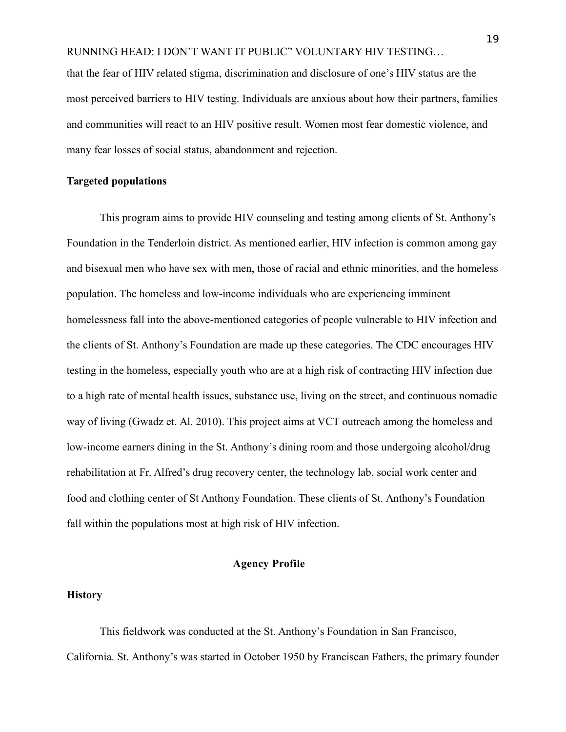that the fear of HIV related stigma, discrimination and disclosure of one's HIV status are the most perceived barriers to HIV testing. Individuals are anxious about how their partners, families and communities will react to an HIV positive result. Women most fear domestic violence, and many fear losses of social status, abandonment and rejection.

### <span id="page-19-0"></span>**Targeted populations**

 This program aims to provide HIV counseling and testing among clients of St. Anthony's Foundation in the Tenderloin district. As mentioned earlier, HIV infection is common among gay and bisexual men who have sex with men, those of racial and ethnic minorities, and the homeless population. The homeless and low-income individuals who are experiencing imminent homelessness fall into the above-mentioned categories of people vulnerable to HIV infection and the clients of St. Anthony's Foundation are made up these categories. The CDC encourages HIV testing in the homeless, especially youth who are at a high risk of contracting HIV infection due to a high rate of mental health issues, substance use, living on the street, and continuous nomadic way of living (Gwadz et. Al. 2010). This project aims at VCT outreach among the homeless and low-income earners dining in the St. Anthony's dining room and those undergoing alcohol/drug rehabilitation at Fr. Alfred's drug recovery center, the technology lab, social work center and food and clothing center of St Anthony Foundation. These clients of St. Anthony's Foundation fall within the populations most at high risk of HIV infection.

# <span id="page-19-1"></span>**Agency Profile**

# <span id="page-19-2"></span>**History**

This fieldwork was conducted at the St. Anthony's Foundation in San Francisco, California. St. Anthony's was started in October 1950 by Franciscan Fathers, the primary founder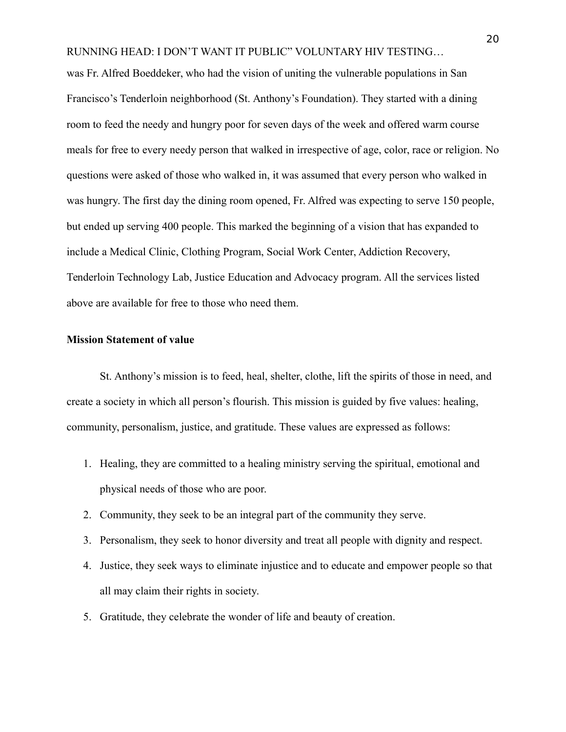was Fr. Alfred Boeddeker, who had the vision of uniting the vulnerable populations in San Francisco's Tenderloin neighborhood (St. Anthony's Foundation). They started with a dining room to feed the needy and hungry poor for seven days of the week and offered warm course meals for free to every needy person that walked in irrespective of age, color, race or religion. No questions were asked of those who walked in, it was assumed that every person who walked in was hungry. The first day the dining room opened, Fr. Alfred was expecting to serve 150 people, but ended up serving 400 people. This marked the beginning of a vision that has expanded to include a Medical Clinic, Clothing Program, Social Work Center, Addiction Recovery, Tenderloin Technology Lab, Justice Education and Advocacy program. All the services listed above are available for free to those who need them.

### <span id="page-20-0"></span>**Mission Statement of value**

St. Anthony's mission is to feed, heal, shelter, clothe, lift the spirits of those in need, and create a society in which all person's flourish. This mission is guided by five values: healing, community, personalism, justice, and gratitude. These values are expressed as follows:

- 1. Healing, they are committed to a healing ministry serving the spiritual, emotional and physical needs of those who are poor.
- 2. Community, they seek to be an integral part of the community they serve.
- 3. Personalism, they seek to honor diversity and treat all people with dignity and respect.
- 4. Justice, they seek ways to eliminate injustice and to educate and empower people so that all may claim their rights in society.
- 5. Gratitude, they celebrate the wonder of life and beauty of creation.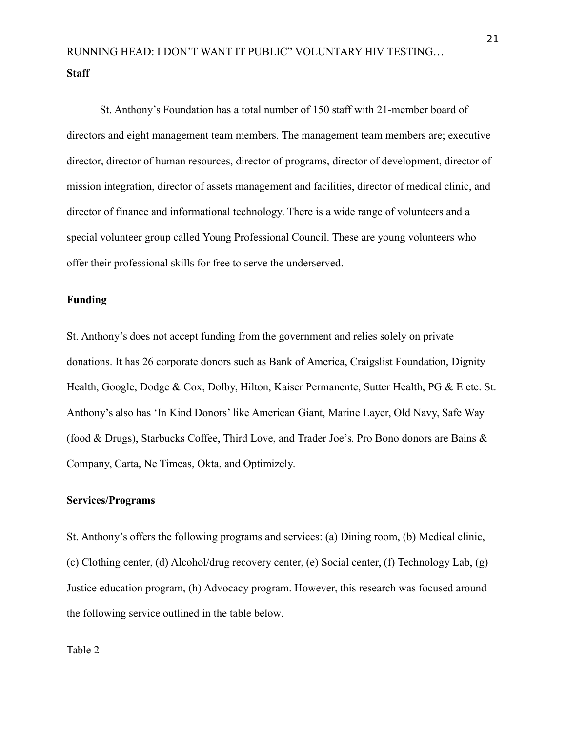<span id="page-21-0"></span>St. Anthony's Foundation has a total number of 150 staff with 21-member board of directors and eight management team members. The management team members are; executive director, director of human resources, director of programs, director of development, director of mission integration, director of assets management and facilities, director of medical clinic, and director of finance and informational technology. There is a wide range of volunteers and a special volunteer group called Young Professional Council. These are young volunteers who offer their professional skills for free to serve the underserved.

# <span id="page-21-1"></span>**Funding**

St. Anthony's does not accept funding from the government and relies solely on private donations. It has 26 corporate donors such as Bank of America, Craigslist Foundation, Dignity Health, Google, Dodge & Cox, Dolby, Hilton, Kaiser Permanente, Sutter Health, PG & E etc. St. Anthony's also has 'In Kind Donors' like American Giant, Marine Layer, Old Navy, Safe Way (food & Drugs), Starbucks Coffee, Third Love, and Trader Joe's. Pro Bono donors are Bains & Company, Carta, Ne Timeas, Okta, and Optimizely.

# <span id="page-21-2"></span>**Services/Programs**

St. Anthony's offers the following programs and services: (a) Dining room, (b) Medical clinic, (c) Clothing center, (d) Alcohol/drug recovery center, (e) Social center, (f) Technology Lab, (g) Justice education program, (h) Advocacy program. However, this research was focused around the following service outlined in the table below.

Table 2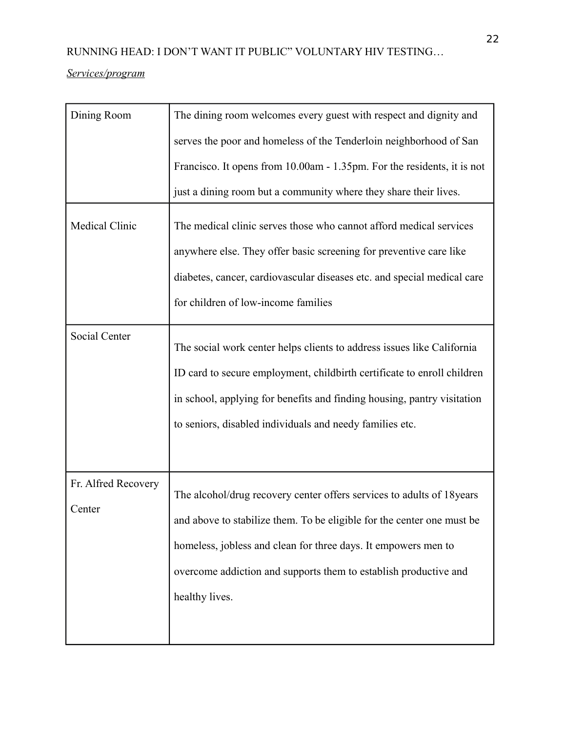# *Services/program*

| Dining Room                   | The dining room welcomes every guest with respect and dignity and                                                                                                                                                                                                                                        |
|-------------------------------|----------------------------------------------------------------------------------------------------------------------------------------------------------------------------------------------------------------------------------------------------------------------------------------------------------|
|                               | serves the poor and homeless of the Tenderloin neighborhood of San                                                                                                                                                                                                                                       |
|                               | Francisco. It opens from 10.00am - 1.35pm. For the residents, it is not                                                                                                                                                                                                                                  |
|                               | just a dining room but a community where they share their lives.                                                                                                                                                                                                                                         |
| Medical Clinic                | The medical clinic serves those who cannot afford medical services<br>anywhere else. They offer basic screening for preventive care like<br>diabetes, cancer, cardiovascular diseases etc. and special medical care<br>for children of low-income families                                               |
| Social Center                 | The social work center helps clients to address issues like California<br>ID card to secure employment, childbirth certificate to enroll children<br>in school, applying for benefits and finding housing, pantry visitation<br>to seniors, disabled individuals and needy families etc.                 |
| Fr. Alfred Recovery<br>Center | The alcohol/drug recovery center offers services to adults of 18 years<br>and above to stabilize them. To be eligible for the center one must be<br>homeless, jobless and clean for three days. It empowers men to<br>overcome addiction and supports them to establish productive and<br>healthy lives. |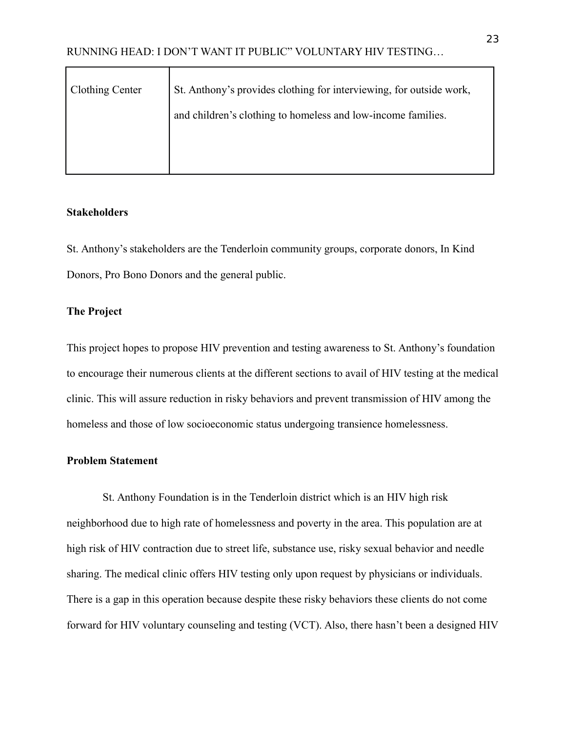| <b>Clothing Center</b> | St. Anthony's provides clothing for interviewing, for outside work, |
|------------------------|---------------------------------------------------------------------|
|                        | and children's clothing to homeless and low-income families.        |
|                        |                                                                     |
|                        |                                                                     |

#### <span id="page-23-0"></span>**Stakeholders**

St. Anthony's stakeholders are the Tenderloin community groups, corporate donors, In Kind Donors, Pro Bono Donors and the general public.

#### <span id="page-23-1"></span>**The Project**

This project hopes to propose HIV prevention and testing awareness to St. Anthony's foundation to encourage their numerous clients at the different sections to avail of HIV testing at the medical clinic. This will assure reduction in risky behaviors and prevent transmission of HIV among the homeless and those of low socioeconomic status undergoing transience homelessness.

#### **Problem Statement**

St. Anthony Foundation is in the Tenderloin district which is an HIV high risk neighborhood due to high rate of homelessness and poverty in the area. This population are at high risk of HIV contraction due to street life, substance use, risky sexual behavior and needle sharing. The medical clinic offers HIV testing only upon request by physicians or individuals. There is a gap in this operation because despite these risky behaviors these clients do not come forward for HIV voluntary counseling and testing (VCT). Also, there hasn't been a designed HIV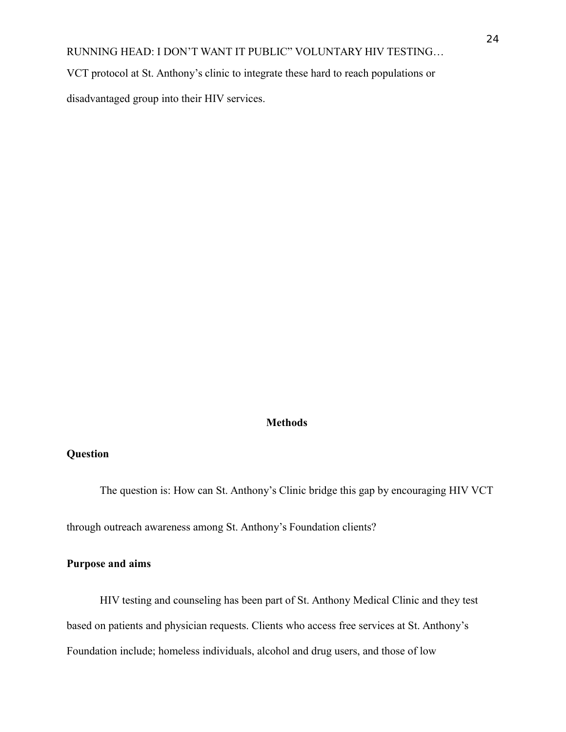VCT protocol at St. Anthony's clinic to integrate these hard to reach populations or

disadvantaged group into their HIV services.

# <span id="page-24-0"></span>**Methods**

# <span id="page-24-1"></span>**Question**

The question is: How can St. Anthony's Clinic bridge this gap by encouraging HIV VCT

through outreach awareness among St. Anthony's Foundation clients?

# <span id="page-24-2"></span>**Purpose and aims**

HIV testing and counseling has been part of St. Anthony Medical Clinic and they test based on patients and physician requests. Clients who access free services at St. Anthony's Foundation include; homeless individuals, alcohol and drug users, and those of low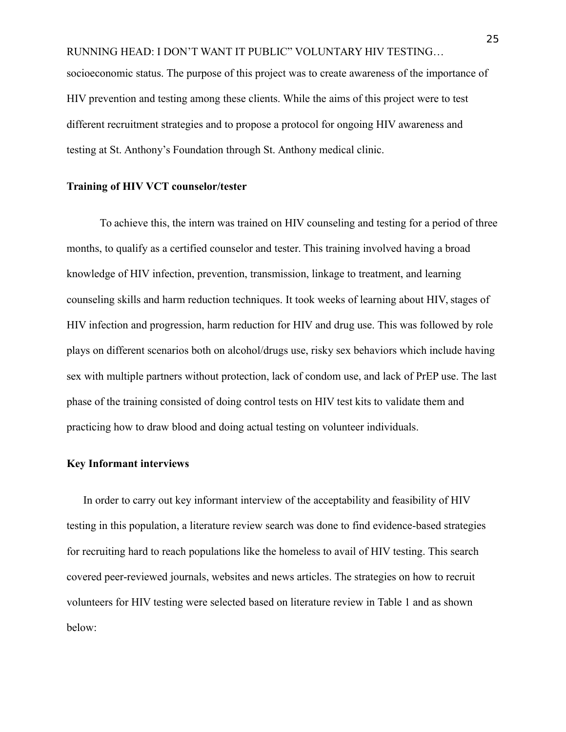RUNNING HEAD: I DON'T WANT IT PUBLIC" VOLUNTARY HIV TESTING… socioeconomic status. The purpose of this project was to create awareness of the importance of HIV prevention and testing among these clients. While the aims of this project were to test different recruitment strategies and to propose a protocol for ongoing HIV awareness and testing at St. Anthony's Foundation through St. Anthony medical clinic.

#### <span id="page-25-0"></span>**Training of HIV VCT counselor/tester**

To achieve this, the intern was trained on HIV counseling and testing for a period of three months, to qualify as a certified counselor and tester. This training involved having a broad knowledge of HIV infection, prevention, transmission, linkage to treatment, and learning counseling skills and harm reduction techniques. It took weeks of learning about HIV, stages of HIV infection and progression, harm reduction for HIV and drug use. This was followed by role plays on different scenarios both on alcohol/drugs use, risky sex behaviors which include having sex with multiple partners without protection, lack of condom use, and lack of PrEP use. The last phase of the training consisted of doing control tests on HIV test kits to validate them and practicing how to draw blood and doing actual testing on volunteer individuals.

# <span id="page-25-1"></span>**Key Informant interviews**

In order to carry out key informant interview of the acceptability and feasibility of HIV testing in this population, a literature review search was done to find evidence-based strategies for recruiting hard to reach populations like the homeless to avail of HIV testing. This search covered peer-reviewed journals, websites and news articles. The strategies on how to recruit volunteers for HIV testing were selected based on literature review in Table 1 and as shown below: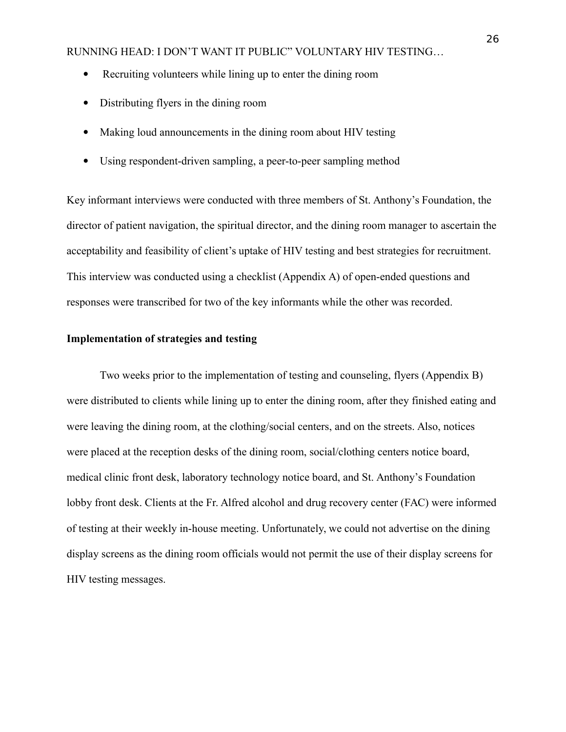- Recruiting volunteers while lining up to enter the dining room
- Distributing flyers in the dining room
- Making loud announcements in the dining room about HIV testing
- Using respondent-driven sampling, a peer-to-peer sampling method

Key informant interviews were conducted with three members of St. Anthony's Foundation, the director of patient navigation, the spiritual director, and the dining room manager to ascertain the acceptability and feasibility of client's uptake of HIV testing and best strategies for recruitment. This interview was conducted using a checklist (Appendix A) of open-ended questions and responses were transcribed for two of the key informants while the other was recorded.

### <span id="page-26-0"></span>**Implementation of strategies and testing**

Two weeks prior to the implementation of testing and counseling, flyers (Appendix B) were distributed to clients while lining up to enter the dining room, after they finished eating and were leaving the dining room, at the clothing/social centers, and on the streets. Also, notices were placed at the reception desks of the dining room, social/clothing centers notice board, medical clinic front desk, laboratory technology notice board, and St. Anthony's Foundation lobby front desk. Clients at the Fr. Alfred alcohol and drug recovery center (FAC) were informed of testing at their weekly in-house meeting. Unfortunately, we could not advertise on the dining display screens as the dining room officials would not permit the use of their display screens for HIV testing messages.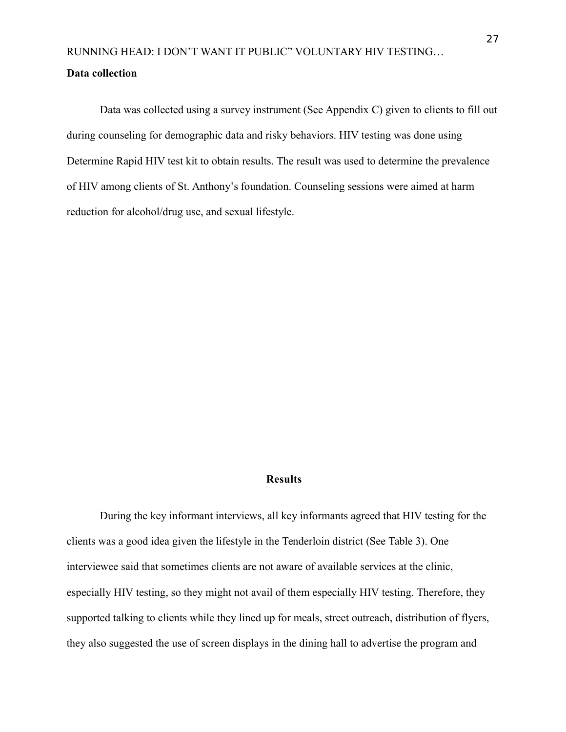# <span id="page-27-0"></span>**Data collection**

Data was collected using a survey instrument (See Appendix C) given to clients to fill out during counseling for demographic data and risky behaviors. HIV testing was done using Determine Rapid HIV test kit to obtain results. The result was used to determine the prevalence of HIV among clients of St. Anthony's foundation. Counseling sessions were aimed at harm reduction for alcohol/drug use, and sexual lifestyle.

# <span id="page-27-1"></span>**Results**

During the key informant interviews, all key informants agreed that HIV testing for the clients was a good idea given the lifestyle in the Tenderloin district (See Table 3). One interviewee said that sometimes clients are not aware of available services at the clinic, especially HIV testing, so they might not avail of them especially HIV testing. Therefore, they supported talking to clients while they lined up for meals, street outreach, distribution of flyers, they also suggested the use of screen displays in the dining hall to advertise the program and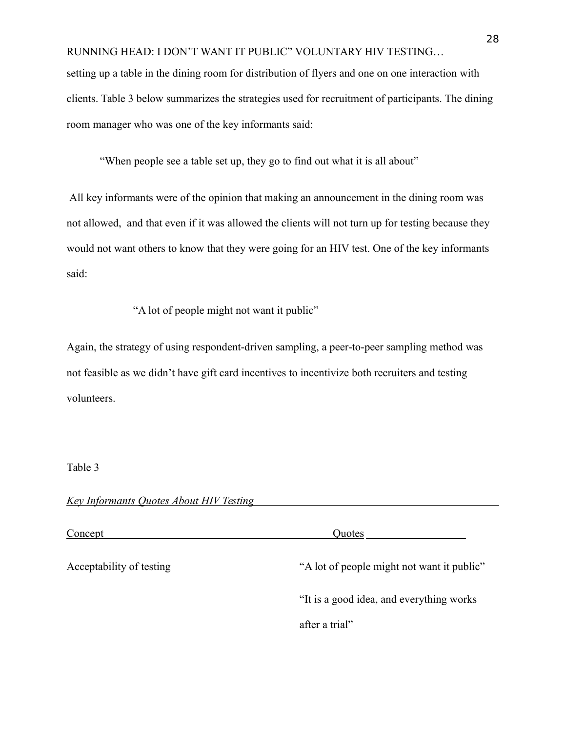setting up a table in the dining room for distribution of flyers and one on one interaction with clients. Table 3 below summarizes the strategies used for recruitment of participants. The dining room manager who was one of the key informants said:

"When people see a table set up, they go to find out what it is all about"

All key informants were of the opinion that making an announcement in the dining room was not allowed, and that even if it was allowed the clients will not turn up for testing because they would not want others to know that they were going for an HIV test. One of the key informants said:

"A lot of people might not want it public"

Again, the strategy of using respondent-driven sampling, a peer-to-peer sampling method was not feasible as we didn't have gift card incentives to incentivize both recruiters and testing volunteers.

Table 3

| <b>Key Informants Quotes About HIV Testing</b> |  |
|------------------------------------------------|--|
|                                                |  |

Concept Quotes Acceptability of testing "A lot of people might not want it public" "It is a good idea, and everything works after a trial"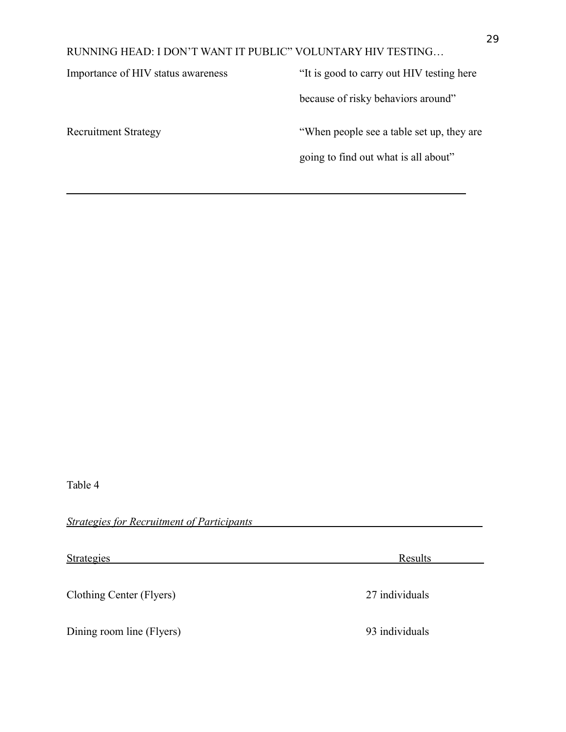$\overline{a}$ 

Importance of HIV status awareness "It is good to carry out HIV testing here

because of risky behaviors around"

Recruitment Strategy "When people see a table set up, they are

going to find out what is all about"

Table 4

 *Strategies for Recruitment of Participants* 

Strategies Results Clothing Center (Flyers) 27 individuals Dining room line (Flyers) 93 individuals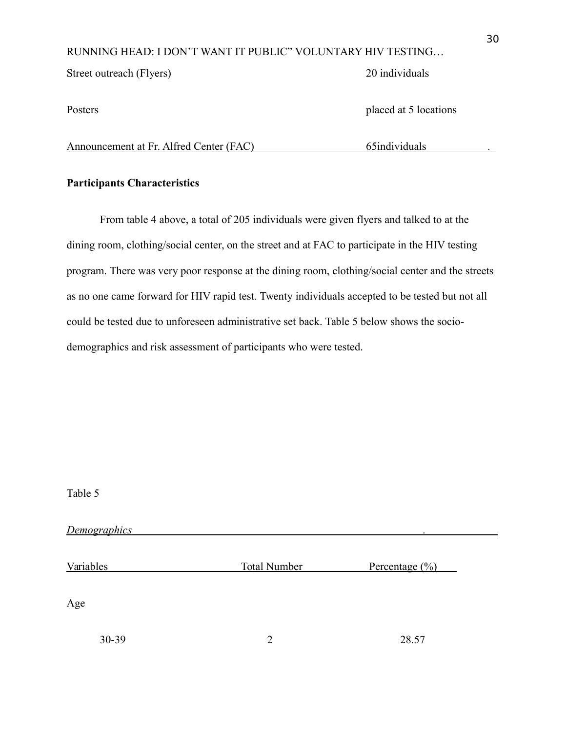Street outreach (Flyers) 20 individuals

Posters placed at 5 locations

Announcement at Fr. Alfred Center (FAC) 65individuals 65

# <span id="page-30-0"></span>**Participants Characteristics**

From table 4 above, a total of 205 individuals were given flyers and talked to at the dining room, clothing/social center, on the street and at FAC to participate in the HIV testing program. There was very poor response at the dining room, clothing/social center and the streets as no one came forward for HIV rapid test. Twenty individuals accepted to be tested but not all could be tested due to unforeseen administrative set back. Table 5 below shows the sociodemographics and risk assessment of participants who were tested.

| Table 5          |                     |                            |  |
|------------------|---------------------|----------------------------|--|
| Demographics     |                     |                            |  |
| <b>Variables</b> | <b>Total Number</b> | Percentage $(\frac{0}{0})$ |  |
| Age              |                     |                            |  |
| 30-39            | 2                   | 28.57                      |  |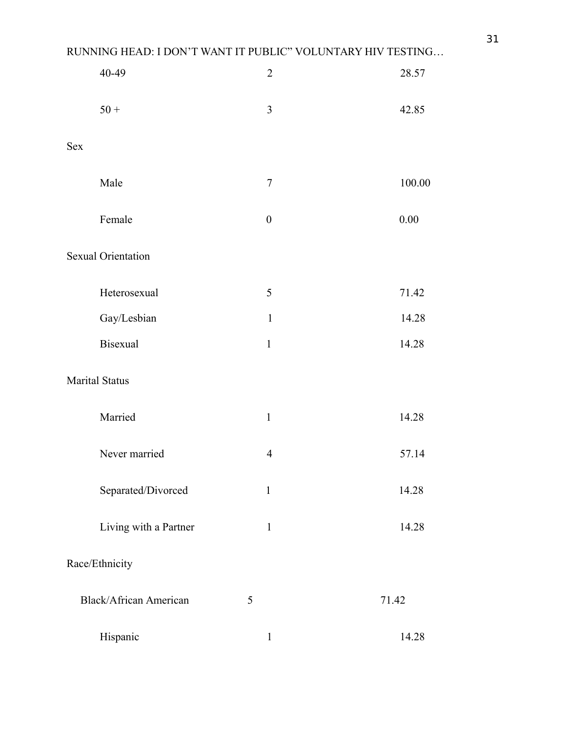|            | 40-49                         |   | $\sqrt{2}$       |       | 28.57    |
|------------|-------------------------------|---|------------------|-------|----------|
|            | $50 +$                        |   | 3                |       | 42.85    |
| <b>Sex</b> |                               |   |                  |       |          |
|            | Male                          |   | $\tau$           |       | 100.00   |
|            | Female                        |   | $\boldsymbol{0}$ |       | $0.00\,$ |
|            | <b>Sexual Orientation</b>     |   |                  |       |          |
|            | Heterosexual                  |   | 5                |       | 71.42    |
|            | Gay/Lesbian                   |   | $\mathbf{1}$     |       | 14.28    |
|            | <b>Bisexual</b>               |   | $\mathbf{1}$     |       | 14.28    |
|            | <b>Marital Status</b>         |   |                  |       |          |
|            | Married                       |   | $\mathbf{1}$     |       | 14.28    |
|            | Never married                 |   | $\overline{4}$   |       | 57.14    |
|            | Separated/Divorced            |   | $\mathbf{1}$     |       | 14.28    |
|            | Living with a Partner         |   | $\mathbf{1}$     |       | 14.28    |
|            | Race/Ethnicity                |   |                  |       |          |
|            | <b>Black/African American</b> | 5 |                  | 71.42 |          |
|            | Hispanic                      |   | $\mathbf{1}$     |       | 14.28    |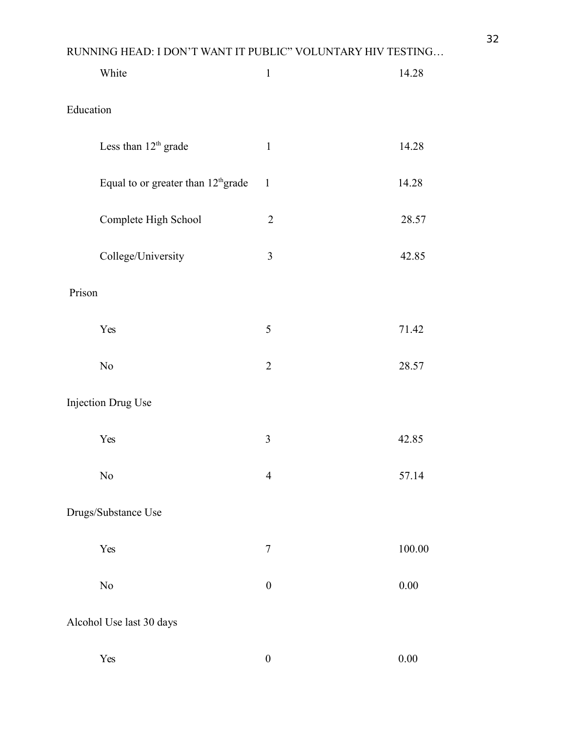|           | White                                           | $\mathbf{1}$     | 14.28  |
|-----------|-------------------------------------------------|------------------|--------|
| Education |                                                 |                  |        |
|           | Less than 12 <sup>th</sup> grade                | $\mathbf{1}$     | 14.28  |
|           | Equal to or greater than 12 <sup>th</sup> grade | $\mathbf{1}$     | 14.28  |
|           | Complete High School                            | $\overline{2}$   | 28.57  |
|           | College/University                              | $\mathfrak{Z}$   | 42.85  |
| Prison    |                                                 |                  |        |
|           | Yes                                             | 5                | 71.42  |
|           | $\rm No$                                        | $\overline{2}$   | 28.57  |
|           | Injection Drug Use                              |                  |        |
|           | Yes                                             | $\overline{3}$   | 42.85  |
|           | N <sub>0</sub>                                  | $\overline{4}$   | 57.14  |
|           | Drugs/Substance Use                             |                  |        |
|           | Yes                                             | $\tau$           | 100.00 |
|           | No                                              | $\boldsymbol{0}$ | 0.00   |
|           | Alcohol Use last 30 days                        |                  |        |
|           | Yes                                             | $\boldsymbol{0}$ | 0.00   |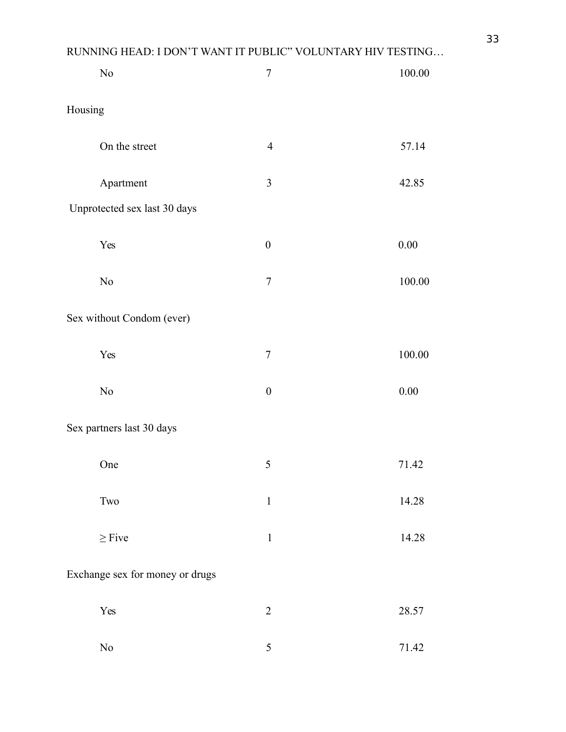|         | $\rm No$                        | $\boldsymbol{7}$ | 100.00   |
|---------|---------------------------------|------------------|----------|
| Housing |                                 |                  |          |
|         | On the street                   | $\overline{4}$   | 57.14    |
|         | Apartment                       | $\mathfrak{Z}$   | 42.85    |
|         | Unprotected sex last 30 days    |                  |          |
|         | Yes                             | $\boldsymbol{0}$ | $0.00\,$ |
|         | $\rm No$                        | $\boldsymbol{7}$ | 100.00   |
|         | Sex without Condom (ever)       |                  |          |
|         | Yes                             | $\boldsymbol{7}$ | 100.00   |
|         | $\rm No$                        | $\boldsymbol{0}$ | $0.00\,$ |
|         | Sex partners last 30 days       |                  |          |
|         | One                             | 5                | 71.42    |
|         | $\operatorname{Two}$            | $\mathbf{1}$     | 14.28    |
|         | $\geq$ Five                     | $\mathbf 1$      | 14.28    |
|         | Exchange sex for money or drugs |                  |          |
|         | Yes                             | $\overline{2}$   | 28.57    |
|         | $\rm No$                        | 5                | 71.42    |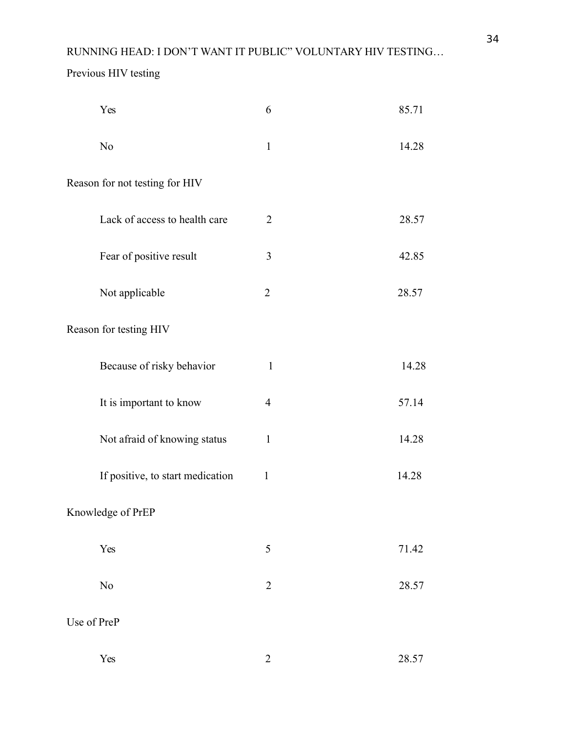# Previous HIV testing

| Yes                              | 6              | 85.71 |
|----------------------------------|----------------|-------|
| N <sub>o</sub>                   | $\mathbf{1}$   | 14.28 |
| Reason for not testing for HIV   |                |       |
| Lack of access to health care    | $\overline{2}$ | 28.57 |
| Fear of positive result          | 3              | 42.85 |
| Not applicable                   | $\overline{2}$ | 28.57 |
| Reason for testing HIV           |                |       |
| Because of risky behavior        | $\mathbf{1}$   | 14.28 |
| It is important to know          | $\overline{4}$ | 57.14 |
| Not afraid of knowing status     | $\mathbf{1}$   | 14.28 |
| If positive, to start medication | $\mathbf{1}$   | 14.28 |
| Knowledge of PrEP                |                |       |
| Yes                              | 5              | 71.42 |
| No                               | $\overline{2}$ | 28.57 |
| Use of PreP                      |                |       |
| Yes                              | $\overline{2}$ | 28.57 |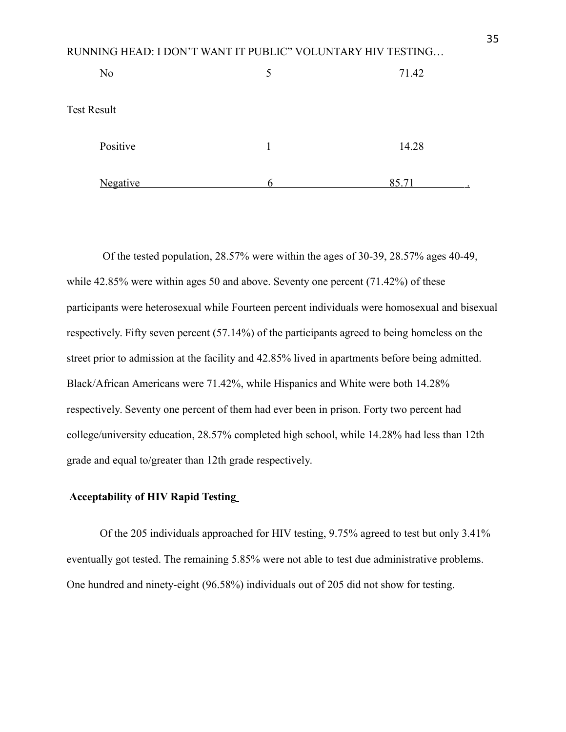| N <sub>0</sub>     | 5 | 71.42              |
|--------------------|---|--------------------|
| <b>Test Result</b> |   |                    |
| Positive           | 1 | 14.28              |
| <b>Negative</b>    | h | 85.71<br>$\bullet$ |

Of the tested population, 28.57% were within the ages of 30-39, 28.57% ages 40-49, while 42.85% were within ages 50 and above. Seventy one percent (71.42%) of these participants were heterosexual while Fourteen percent individuals were homosexual and bisexual respectively. Fifty seven percent (57.14%) of the participants agreed to being homeless on the street prior to admission at the facility and 42.85% lived in apartments before being admitted. Black/African Americans were 71.42%, while Hispanics and White were both 14.28% respectively. Seventy one percent of them had ever been in prison. Forty two percent had college/university education, 28.57% completed high school, while 14.28% had less than 12th grade and equal to/greater than 12th grade respectively.

### <span id="page-35-0"></span>**Acceptability of HIV Rapid Testing**

Of the 205 individuals approached for HIV testing, 9.75% agreed to test but only 3.41% eventually got tested. The remaining 5.85% were not able to test due administrative problems. One hundred and ninety-eight (96.58%) individuals out of 205 did not show for testing.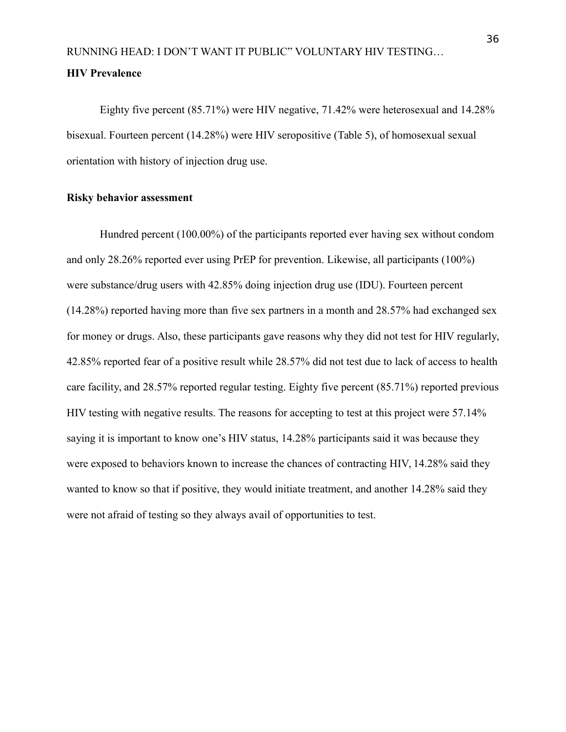# <span id="page-36-0"></span>RUNNING HEAD: I DON'T WANT IT PUBLIC" VOLUNTARY HIV TESTING… **HIV Prevalence**

Eighty five percent (85.71%) were HIV negative, 71.42% were heterosexual and 14.28% bisexual. Fourteen percent (14.28%) were HIV seropositive (Table 5), of homosexual sexual orientation with history of injection drug use.

### <span id="page-36-1"></span>**Risky behavior assessment**

Hundred percent (100.00%) of the participants reported ever having sex without condom and only 28.26% reported ever using PrEP for prevention. Likewise, all participants (100%) were substance/drug users with 42.85% doing injection drug use (IDU). Fourteen percent (14.28%) reported having more than five sex partners in a month and 28.57% had exchanged sex for money or drugs. Also, these participants gave reasons why they did not test for HIV regularly, 42.85% reported fear of a positive result while 28.57% did not test due to lack of access to health care facility, and 28.57% reported regular testing. Eighty five percent (85.71%) reported previous HIV testing with negative results. The reasons for accepting to test at this project were 57.14% saying it is important to know one's HIV status, 14.28% participants said it was because they were exposed to behaviors known to increase the chances of contracting HIV, 14.28% said they wanted to know so that if positive, they would initiate treatment, and another 14.28% said they were not afraid of testing so they always avail of opportunities to test.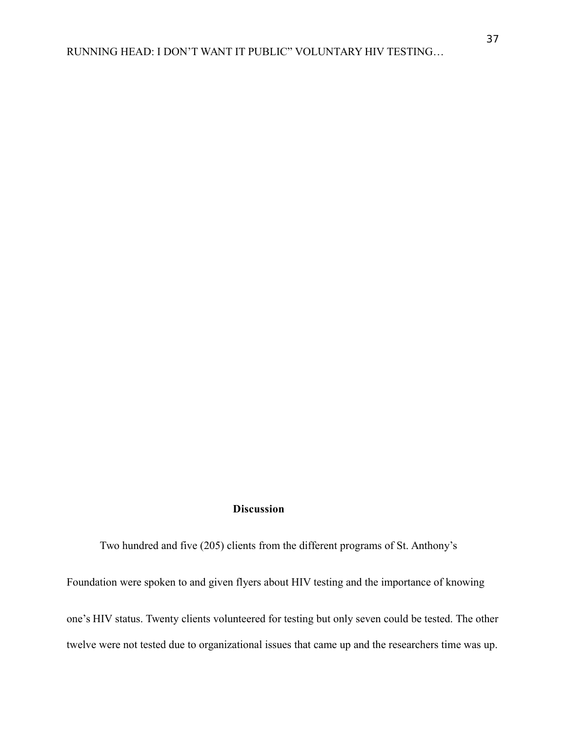#### <span id="page-37-0"></span>**Discussion**

Two hundred and five (205) clients from the different programs of St. Anthony's

Foundation were spoken to and given flyers about HIV testing and the importance of knowing

one's HIV status. Twenty clients volunteered for testing but only seven could be tested. The other twelve were not tested due to organizational issues that came up and the researchers time was up.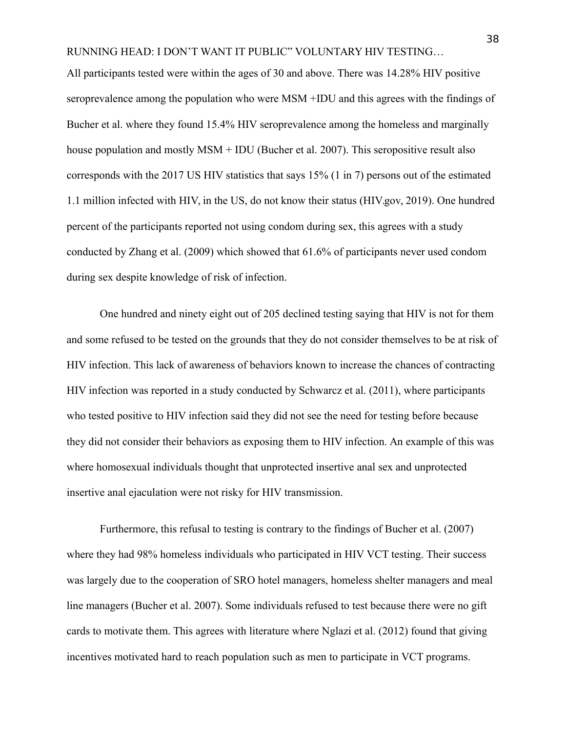All participants tested were within the ages of 30 and above. There was 14.28% HIV positive seroprevalence among the population who were MSM +IDU and this agrees with the findings of Bucher et al. where they found 15.4% HIV seroprevalence among the homeless and marginally house population and mostly MSM + IDU (Bucher et al. 2007). This seropositive result also corresponds with the 2017 US HIV statistics that says 15% (1 in 7) persons out of the estimated 1.1 million infected with HIV, in the US, do not know their status (HIV.gov, 2019). One hundred percent of the participants reported not using condom during sex, this agrees with a study conducted by Zhang et al. (2009) which showed that 61.6% of participants never used condom during sex despite knowledge of risk of infection.

One hundred and ninety eight out of 205 declined testing saying that HIV is not for them and some refused to be tested on the grounds that they do not consider themselves to be at risk of HIV infection. This lack of awareness of behaviors known to increase the chances of contracting HIV infection was reported in a study conducted by Schwarcz et al. (2011), where participants who tested positive to HIV infection said they did not see the need for testing before because they did not consider their behaviors as exposing them to HIV infection. An example of this was where homosexual individuals thought that unprotected insertive anal sex and unprotected insertive anal ejaculation were not risky for HIV transmission.

Furthermore, this refusal to testing is contrary to the findings of Bucher et al. (2007) where they had 98% homeless individuals who participated in HIV VCT testing. Their success was largely due to the cooperation of SRO hotel managers, homeless shelter managers and meal line managers (Bucher et al. 2007). Some individuals refused to test because there were no gift cards to motivate them. This agrees with literature where Nglazi et al. (2012) found that giving incentives motivated hard to reach population such as men to participate in VCT programs.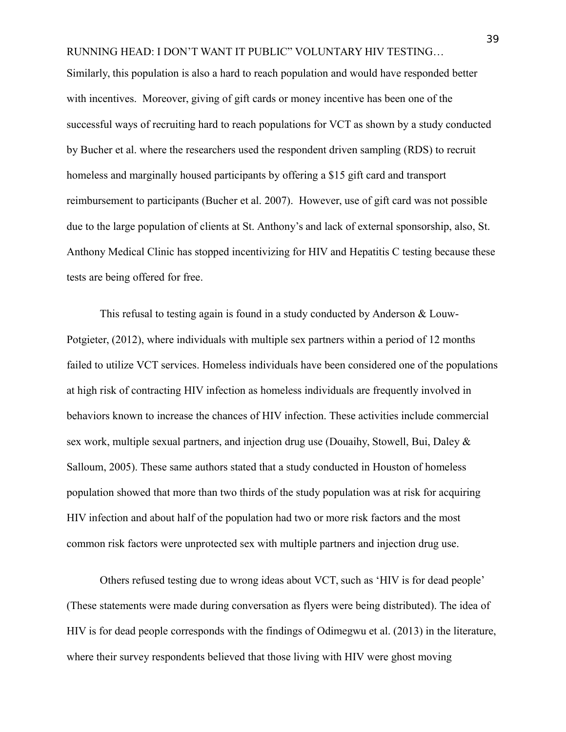Similarly, this population is also a hard to reach population and would have responded better with incentives. Moreover, giving of gift cards or money incentive has been one of the successful ways of recruiting hard to reach populations for VCT as shown by a study conducted by Bucher et al. where the researchers used the respondent driven sampling (RDS) to recruit homeless and marginally housed participants by offering a \$15 gift card and transport reimbursement to participants (Bucher et al. 2007). However, use of gift card was not possible due to the large population of clients at St. Anthony's and lack of external sponsorship, also, St. Anthony Medical Clinic has stopped incentivizing for HIV and Hepatitis C testing because these tests are being offered for free.

This refusal to testing again is found in a study conducted by Anderson & Louw-Potgieter, (2012), where individuals with multiple sex partners within a period of 12 months failed to utilize VCT services. Homeless individuals have been considered one of the populations at high risk of contracting HIV infection as homeless individuals are frequently involved in behaviors known to increase the chances of HIV infection. These activities include commercial sex work, multiple sexual partners, and injection drug use (Douaihy, Stowell, Bui, Daley & Salloum, 2005). These same authors stated that a study conducted in Houston of homeless population showed that more than two thirds of the study population was at risk for acquiring HIV infection and about half of the population had two or more risk factors and the most common risk factors were unprotected sex with multiple partners and injection drug use.

Others refused testing due to wrong ideas about VCT, such as 'HIV is for dead people' (These statements were made during conversation as flyers were being distributed). The idea of HIV is for dead people corresponds with the findings of Odimegwu et al. (2013) in the literature, where their survey respondents believed that those living with HIV were ghost moving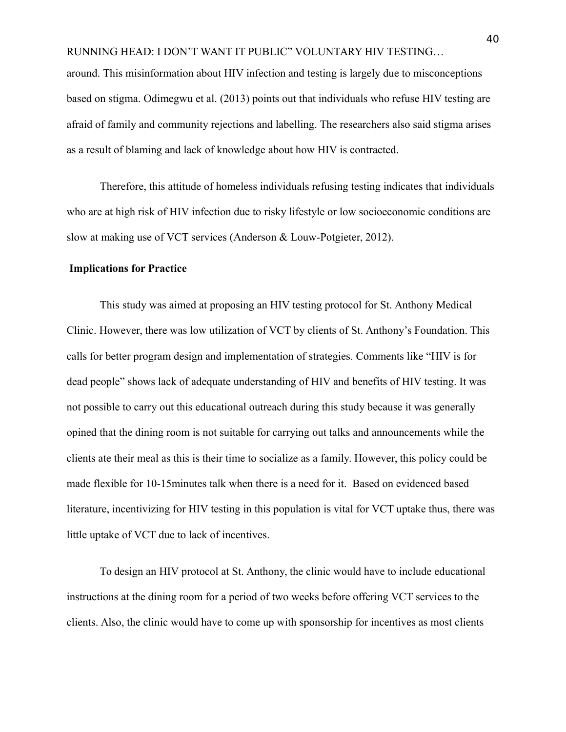around. This misinformation about HIV infection and testing is largely due to misconceptions based on stigma. Odimegwu et al. (2013) points out that individuals who refuse HIV testing are afraid of family and community rejections and labelling. The researchers also said stigma arises as a result of blaming and lack of knowledge about how HIV is contracted.

Therefore, this attitude of homeless individuals refusing testing indicates that individuals who are at high risk of HIV infection due to risky lifestyle or low socioeconomic conditions are slow at making use of VCT services (Anderson & Louw-Potgieter, 2012).

#### <span id="page-40-0"></span>**Implications for Practice**

This study was aimed at proposing an HIV testing protocol for St. Anthony Medical Clinic. However, there was low utilization of VCT by clients of St. Anthony's Foundation. This calls for better program design and implementation of strategies. Comments like "HIV is for dead people" shows lack of adequate understanding of HIV and benefits of HIV testing. It was not possible to carry out this educational outreach during this study because it was generally opined that the dining room is not suitable for carrying out talks and announcements while the clients ate their meal as this is their time to socialize as a family. However, this policy could be made flexible for 10-15minutes talk when there is a need for it. Based on evidenced based literature, incentivizing for HIV testing in this population is vital for VCT uptake thus, there was little uptake of VCT due to lack of incentives.

To design an HIV protocol at St. Anthony, the clinic would have to include educational instructions at the dining room for a period of two weeks before offering VCT services to the clients. Also, the clinic would have to come up with sponsorship for incentives as most clients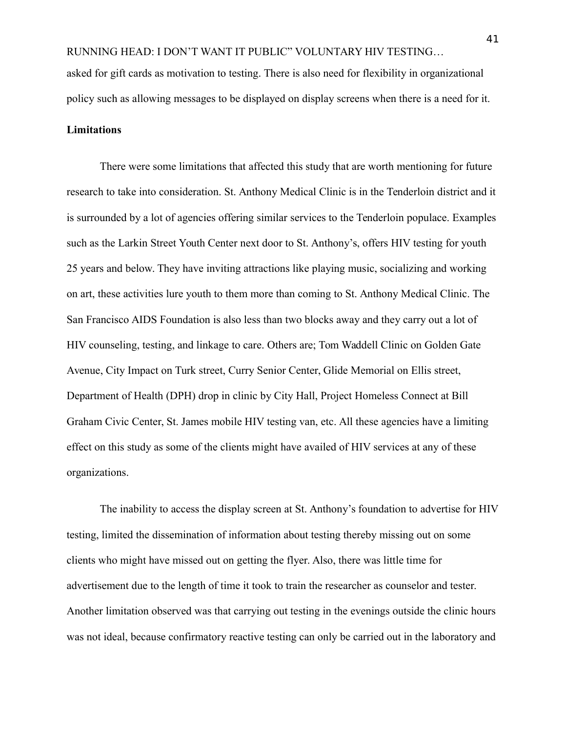asked for gift cards as motivation to testing. There is also need for flexibility in organizational policy such as allowing messages to be displayed on display screens when there is a need for it.

# <span id="page-41-0"></span>**Limitations**

There were some limitations that affected this study that are worth mentioning for future research to take into consideration. St. Anthony Medical Clinic is in the Tenderloin district and it is surrounded by a lot of agencies offering similar services to the Tenderloin populace. Examples such as the Larkin Street Youth Center next door to St. Anthony's, offers HIV testing for youth 25 years and below. They have inviting attractions like playing music, socializing and working on art, these activities lure youth to them more than coming to St. Anthony Medical Clinic. The San Francisco AIDS Foundation is also less than two blocks away and they carry out a lot of HIV counseling, testing, and linkage to care. Others are; Tom Waddell Clinic on Golden Gate Avenue, City Impact on Turk street, Curry Senior Center, Glide Memorial on Ellis street, Department of Health (DPH) drop in clinic by City Hall, Project Homeless Connect at Bill Graham Civic Center, St. James mobile HIV testing van, etc. All these agencies have a limiting effect on this study as some of the clients might have availed of HIV services at any of these organizations.

The inability to access the display screen at St. Anthony's foundation to advertise for HIV testing, limited the dissemination of information about testing thereby missing out on some clients who might have missed out on getting the flyer. Also, there was little time for advertisement due to the length of time it took to train the researcher as counselor and tester. Another limitation observed was that carrying out testing in the evenings outside the clinic hours was not ideal, because confirmatory reactive testing can only be carried out in the laboratory and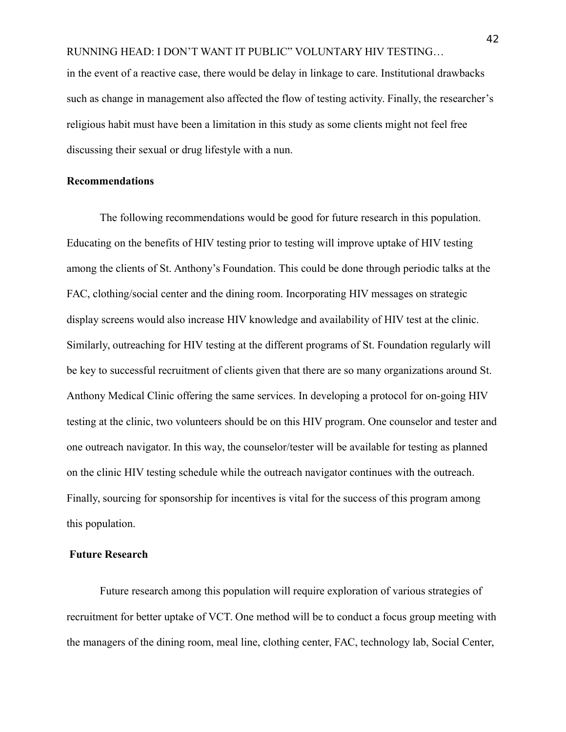in the event of a reactive case, there would be delay in linkage to care. Institutional drawbacks such as change in management also affected the flow of testing activity. Finally, the researcher's religious habit must have been a limitation in this study as some clients might not feel free discussing their sexual or drug lifestyle with a nun.

#### <span id="page-42-0"></span>**Recommendations**

The following recommendations would be good for future research in this population. Educating on the benefits of HIV testing prior to testing will improve uptake of HIV testing among the clients of St. Anthony's Foundation. This could be done through periodic talks at the FAC, clothing/social center and the dining room. Incorporating HIV messages on strategic display screens would also increase HIV knowledge and availability of HIV test at the clinic. Similarly, outreaching for HIV testing at the different programs of St. Foundation regularly will be key to successful recruitment of clients given that there are so many organizations around St. Anthony Medical Clinic offering the same services. In developing a protocol for on-going HIV testing at the clinic, two volunteers should be on this HIV program. One counselor and tester and one outreach navigator. In this way, the counselor/tester will be available for testing as planned on the clinic HIV testing schedule while the outreach navigator continues with the outreach. Finally, sourcing for sponsorship for incentives is vital for the success of this program among this population.

# <span id="page-42-1"></span>**Future Research**

Future research among this population will require exploration of various strategies of recruitment for better uptake of VCT. One method will be to conduct a focus group meeting with the managers of the dining room, meal line, clothing center, FAC, technology lab, Social Center,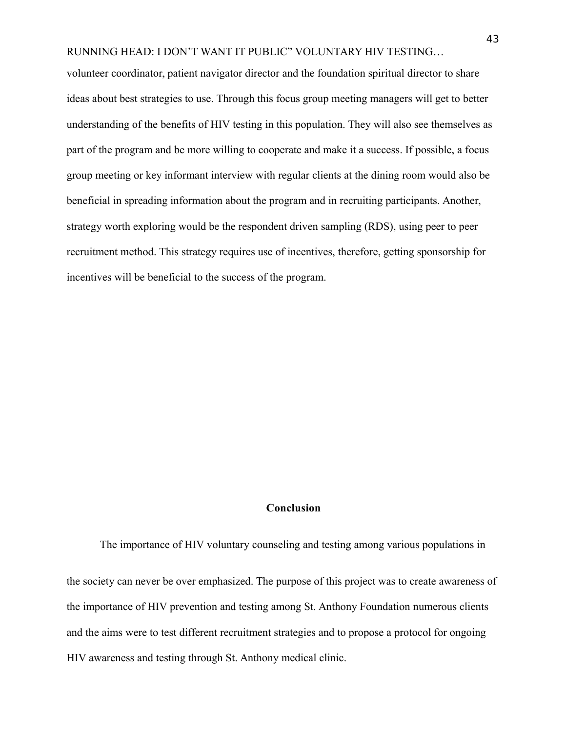volunteer coordinator, patient navigator director and the foundation spiritual director to share ideas about best strategies to use. Through this focus group meeting managers will get to better understanding of the benefits of HIV testing in this population. They will also see themselves as part of the program and be more willing to cooperate and make it a success. If possible, a focus group meeting or key informant interview with regular clients at the dining room would also be beneficial in spreading information about the program and in recruiting participants. Another, strategy worth exploring would be the respondent driven sampling (RDS), using peer to peer recruitment method. This strategy requires use of incentives, therefore, getting sponsorship for incentives will be beneficial to the success of the program.

#### <span id="page-43-0"></span>**Conclusion**

The importance of HIV voluntary counseling and testing among various populations in the society can never be over emphasized. The purpose of this project was to create awareness of the importance of HIV prevention and testing among St. Anthony Foundation numerous clients and the aims were to test different recruitment strategies and to propose a protocol for ongoing HIV awareness and testing through St. Anthony medical clinic.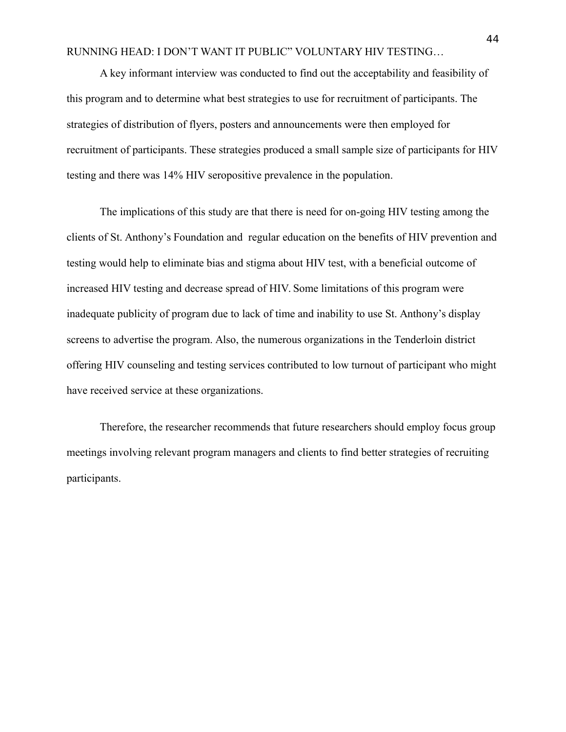A key informant interview was conducted to find out the acceptability and feasibility of this program and to determine what best strategies to use for recruitment of participants. The strategies of distribution of flyers, posters and announcements were then employed for recruitment of participants. These strategies produced a small sample size of participants for HIV testing and there was 14% HIV seropositive prevalence in the population.

The implications of this study are that there is need for on-going HIV testing among the clients of St. Anthony's Foundation and regular education on the benefits of HIV prevention and testing would help to eliminate bias and stigma about HIV test, with a beneficial outcome of increased HIV testing and decrease spread of HIV. Some limitations of this program were inadequate publicity of program due to lack of time and inability to use St. Anthony's display screens to advertise the program. Also, the numerous organizations in the Tenderloin district offering HIV counseling and testing services contributed to low turnout of participant who might have received service at these organizations.

Therefore, the researcher recommends that future researchers should employ focus group meetings involving relevant program managers and clients to find better strategies of recruiting participants.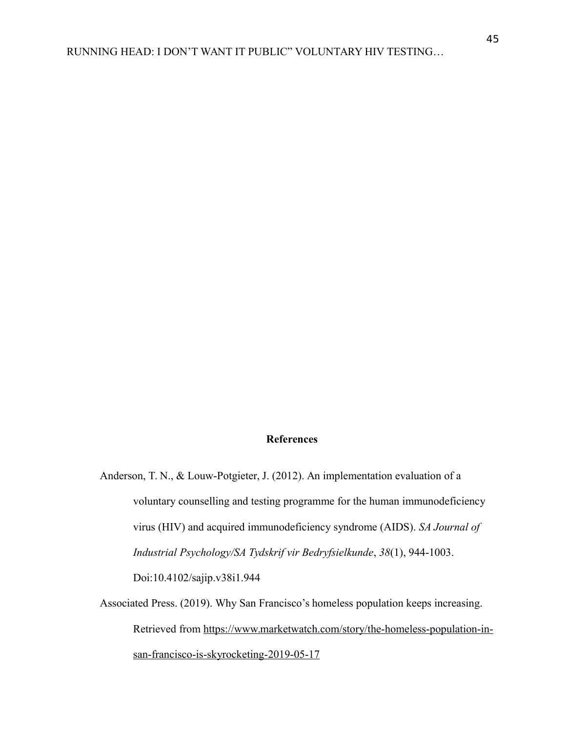#### **References**

- Anderson, T. N., & Louw-Potgieter, J. (2012). An implementation evaluation of a voluntary counselling and testing programme for the human immunodeficiency virus (HIV) and acquired immunodeficiency syndrome (AIDS). *SA Journal of Industrial Psychology/SA Tydskrif vir Bedryfsielkunde*, *38*(1), 944-1003. Doi:10.4102/sajip.v38i1.944
- Associated Press. (2019). Why San Francisco's homeless population keeps increasing. Retrieved from [https://www.marketwatch.com/story/the-homeless-population-in](https://www.marketwatch.com/story/the-homeless-population-in-san-francisco-is-skyrocketing-2019-05-17)[san-francisco-is-skyrocketing-2019-05-17](https://www.marketwatch.com/story/the-homeless-population-in-san-francisco-is-skyrocketing-2019-05-17)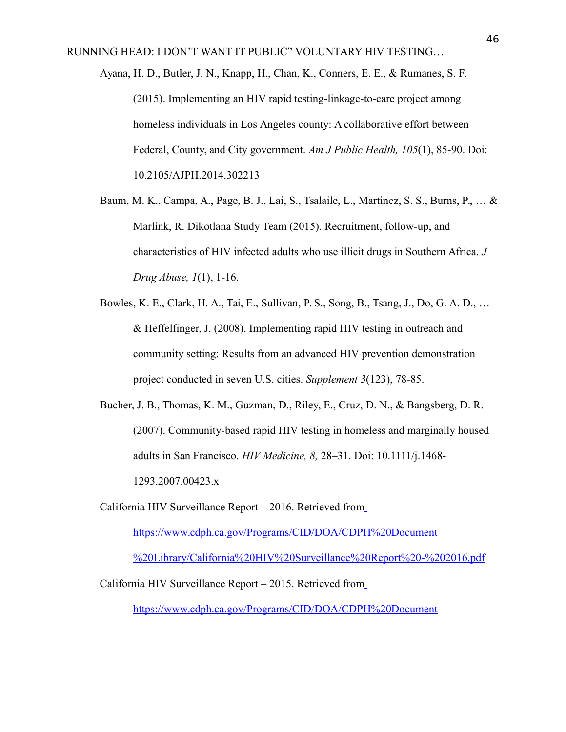- Ayana, H. D., Butler, J. N., Knapp, H., Chan, K., Conners, E. E., & Rumanes, S. F. (2015). Implementing an HIV rapid testing-linkage-to-care project among homeless individuals in Los Angeles county: A collaborative effort between Federal, County, and City government. *Am J Public Health, 105*(1), 85-90. Doi: 10.2105/AJPH.2014.302213
- Baum, M. K., Campa, A., Page, B. J., Lai, S., Tsalaile, L., Martinez, S. S., Burns, P., … & Marlink, R. Dikotlana Study Team (2015). Recruitment, follow-up, and characteristics of HIV infected adults who use illicit drugs in Southern Africa. *J Drug Abuse, 1*(1), 1-16.
- Bowles, K. E., Clark, H. A., Tai, E., Sullivan, P. S., Song, B., Tsang, J., Do, G. A. D., … & Heffelfinger, J. (2008). Implementing rapid HIV testing in outreach and community setting: Results from an advanced HIV prevention demonstration project conducted in seven U.S. cities. *Supplement 3*(123), 78-85.
- Bucher, J. B., Thomas, K. M., Guzman, D., Riley, E., Cruz, D. N., & Bangsberg, D. R. (2007). Community-based rapid HIV testing in homeless and marginally housed adults in San Francisco. *HIV Medicine, 8,* 28–31. Doi: 10.1111/j.1468- 1293.2007.00423.x
- California HIV Surveillance Report 2016. Retrieved fro[m](https://www.cdph.ca.gov/Programs/CID/DOA/CDPH%20Document%20Library/California%20HIV%20Surveillance%20Report%20-%202016.pdf) [https://www.cdph.ca.gov/Programs/CID/DOA/CDPH%20Document](https://www.cdph.ca.gov/Programs/CID/DOA/CDPH%20Document%20Library/California%20HIV%20Surveillance%20Report%20-%202016.pdf) [%20Library/California%20HIV%20Surveillance%20Report%20-%202016.pdf](https://www.cdph.ca.gov/Programs/CID/DOA/CDPH%20Document%20Library/California%20HIV%20Surveillance%20Report%20-%202016.pdf)

California HIV Surveillance Report – 2015. Retrieved fro[m](https://www.cdph.ca.gov/Programs/CID/DOA/CDPH%20Document%20Library/California%20HIV%20Surveillance%20Report%20-%202015%20(Final%20Version%20Submitted%20for%20Approval).pdf)

[https://www.cdph.ca.gov/Programs/CID/DOA/CDPH%20Document](https://www.cdph.ca.gov/Programs/CID/DOA/CDPH%20Document%20Library/California%20HIV%20Surveillance%20Report%20-%202015%20(Final%20Version%20Submitted%20for%20Approval).pdf)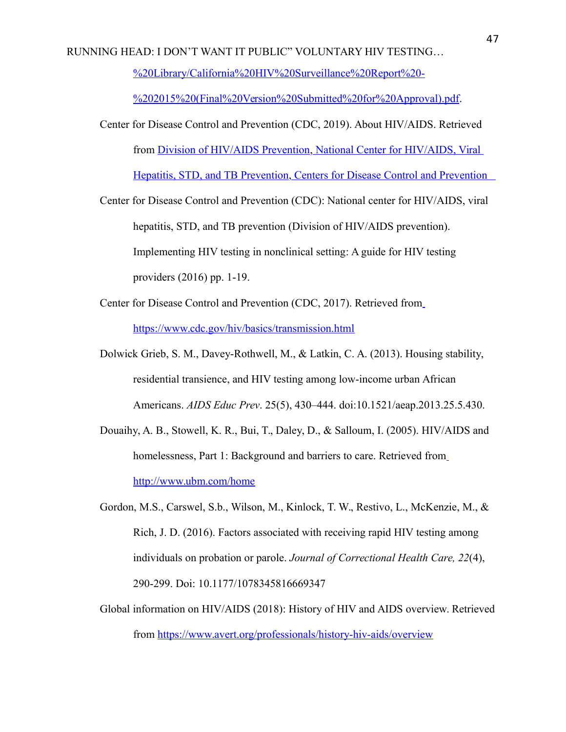[%20Library/California%20HIV%20Surveillance%20Report%20-](https://www.cdph.ca.gov/Programs/CID/DOA/CDPH%20Document%20Library/California%20HIV%20Surveillance%20Report%20-%202015%20(Final%20Version%20Submitted%20for%20Approval).pdf)

[%202015%20\(Final%20Version%20Submitted%20for%20Approval\).pdf.](https://www.cdph.ca.gov/Programs/CID/DOA/CDPH%20Document%20Library/California%20HIV%20Surveillance%20Report%20-%202015%20(Final%20Version%20Submitted%20for%20Approval).pdf)

- Center for Disease Control and Prevention (CDC, 2019). About HIV/AIDS. Retrieved from [Division of HIV/AIDS Prevention,](https://www.cdc.gov/hiv) [National Center for HIV/AIDS, Viral](https://www.cdc.gov/nchhstp)  [Hepatitis, STD, and TB Prevention](https://www.cdc.gov/nchhstp)[, Centers for Disease Control and Prevention](https://www.cdc.gov/)
- Center for Disease Control and Prevention (CDC): National center for HIV/AIDS, viral hepatitis, STD, and TB prevention (Division of HIV/AIDS prevention). Implementing HIV testing in nonclinical setting: A guide for HIV testing providers (2016) pp. 1-19.
- Center for Disease Control and Prevention (CDC, 2017). Retrieved fro[m](https://www.cdc.gov/hiv/basics/transmission.html) <https://www.cdc.gov/hiv/basics/transmission.html>
- Dolwick Grieb, S. M., Davey-Rothwell, M., & Latkin, C. A. (2013). Housing stability, residential transience, and HIV testing among low-income urban African Americans. *AIDS Educ Prev*. 25(5), 430–444. doi:10.1521/aeap.2013.25.5.430.
- Douaihy, A. B., Stowell, K. R., Bui, T., Daley, D., & Salloum, I. (2005). HIV/AIDS and homelessness, Part 1: Background and barriers to care. Retrieved fro[m](http://www.ubm.com/home) <http://www.ubm.com/home>
- Gordon, M.S., Carswel, S.b., Wilson, M., Kinlock, T. W., Restivo, L., McKenzie, M., & Rich, J. D. (2016). Factors associated with receiving rapid HIV testing among individuals on probation or parole. *Journal of Correctional Health Care, 22*(4), 290-299. Doi: 10.1177/1078345816669347
- Global information on HIV/AIDS (2018): History of HIV and AIDS overview. Retrieved from<https://www.avert.org/professionals/history-hiv-aids/overview>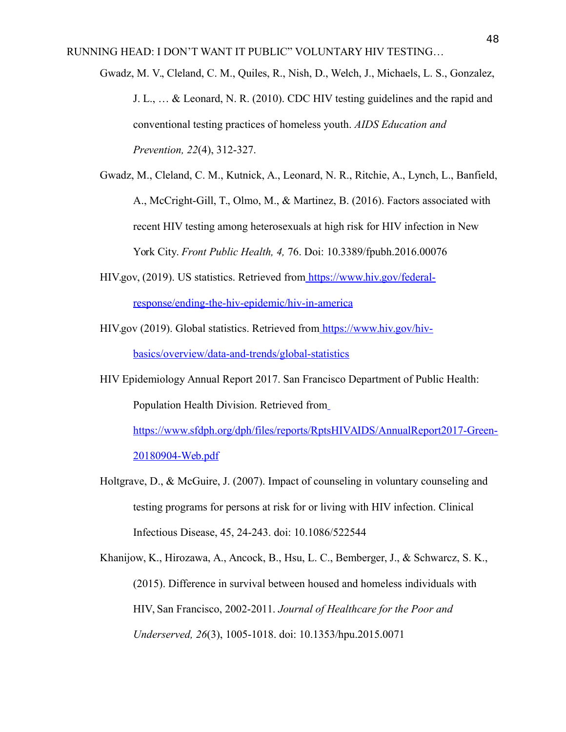Gwadz, M. V., Cleland, C. M., Quiles, R., Nish, D., Welch, J., Michaels, L. S., Gonzalez, J. L., … & Leonard, N. R. (2010). CDC HIV testing guidelines and the rapid and conventional testing practices of homeless youth. *AIDS Education and Prevention, 22*(4), 312-327.

- Gwadz, M., Cleland, C. M., Kutnick, A., Leonard, N. R., Ritchie, A., Lynch, L., Banfield, A., McCright-Gill, T., Olmo, M., & Martinez, B. (2016). Factors associated with recent HIV testing among heterosexuals at high risk for HIV infection in New York City. *Front Public Health, 4,* 76. Doi: 10.3389/fpubh.2016.00076
- HIV.gov, (2019). US statistics. Retrieved from [https://www.hiv.gov/federal](https://www.hiv.gov/federal-response/ending-the-hiv-epidemic/hiv-in-america)[response/ending-the-hiv-epidemic/hiv-in-america](https://www.hiv.gov/federal-response/ending-the-hiv-epidemic/hiv-in-america)
- HIV.gov (2019). Global statistics. Retrieved from [https://www.hiv.gov/hiv](https://www.hiv.gov/hiv-basics/overview/data-and-trends/global-statistics)[basics/overview/data-and-trends/global-statistics](https://www.hiv.gov/hiv-basics/overview/data-and-trends/global-statistics)
- HIV Epidemiology Annual Report 2017. San Francisco Department of Public Health: Population Health Division. Retrieved fro[m](https://www.sfdph.org/dph/files/reports/RptsHIVAIDS/AnnualReport2017-Green-20180904-Web.pdf)

[https://www.sfdph.org/dph/files/reports/RptsHIVAIDS/AnnualReport2017-Green-](https://www.sfdph.org/dph/files/reports/RptsHIVAIDS/AnnualReport2017-Green-20180904-Web.pdf)[20180904-Web.pdf](https://www.sfdph.org/dph/files/reports/RptsHIVAIDS/AnnualReport2017-Green-20180904-Web.pdf)

Holtgrave, D., & McGuire, J. (2007). Impact of counseling in voluntary counseling and testing programs for persons at risk for or living with HIV infection. Clinical Infectious Disease, 45, 24-243. doi: 10.1086/522544

Khanijow, K., Hirozawa, A., Ancock, B., Hsu, L. C., Bemberger, J., & Schwarcz, S. K., (2015). Difference in survival between housed and homeless individuals with HIV, San Francisco, 2002-2011. *Journal of Healthcare for the Poor and Underserved, 26*(3), 1005-1018. doi: 10.1353/hpu.2015.0071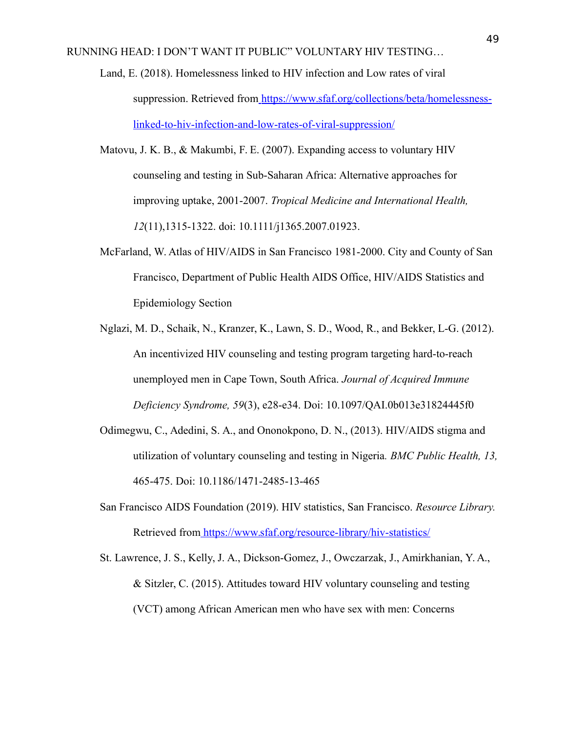- Land, E. (2018). Homelessness linked to HIV infection and Low rates of viral suppression. Retrieved from [https://www.sfaf.org/collections/beta/homelessness](https://www.sfaf.org/collections/beta/homelessness-linked-to-hiv-infection-and-low-rates-of-viral-suppression/)[linked-to-hiv-infection-and-low-rates-of-viral-suppression/](https://www.sfaf.org/collections/beta/homelessness-linked-to-hiv-infection-and-low-rates-of-viral-suppression/)
- Matovu, J. K. B., & Makumbi, F. E. (2007). Expanding access to voluntary HIV counseling and testing in Sub-Saharan Africa: Alternative approaches for improving uptake, 2001-2007. *Tropical Medicine and International Health, 12*(11),1315-1322. doi: 10.1111/j1365.2007.01923.
- McFarland, W. Atlas of HIV/AIDS in San Francisco 1981-2000. City and County of San Francisco, Department of Public Health AIDS Office, HIV/AIDS Statistics and Epidemiology Section
- Nglazi, M. D., Schaik, N., Kranzer, K., Lawn, S. D., Wood, R., and Bekker, L-G. (2012). An incentivized HIV counseling and testing program targeting hard-to-reach unemployed men in Cape Town, South Africa. *Journal of Acquired Immune Deficiency Syndrome, 59*(3), e28-e34. Doi: 10.1097/QAI.0b013e31824445f0
- Odimegwu, C., Adedini, S. A., and Ononokpono, D. N., (2013). HIV/AIDS stigma and utilization of voluntary counseling and testing in Nigeria*. BMC Public Health, 13,* 465-475. Doi: 10.1186/1471-2485-13-465
- San Francisco AIDS Foundation (2019). HIV statistics, San Francisco. *Resource Library.* Retrieved from <https://www.sfaf.org/resource-library/hiv-statistics/>
- St. Lawrence, J. S., Kelly, J. A., Dickson-Gomez, J., Owczarzak, J., Amirkhanian, Y. A., & Sitzler, C. (2015). Attitudes toward HIV voluntary counseling and testing (VCT) among African American men who have sex with men: Concerns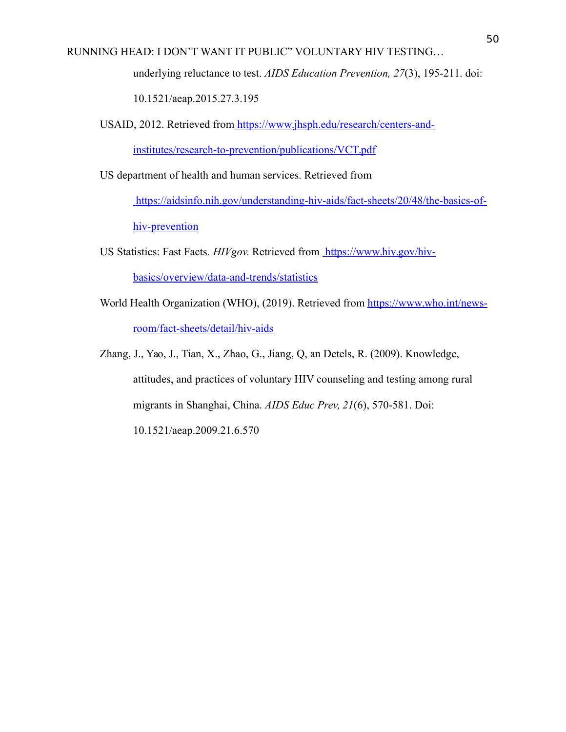underlying reluctance to test. *AIDS Education Prevention, 27*(3), 195-211. doi:

10.1521/aeap.2015.27.3.195

USAID, 2012. Retrieved from [https://www.jhsph.edu/research/centers-and-](https://www.jhsph.edu/research/centers-and-institutes/research-to-prevention/publications/VCT.pdf)

[institutes/research-to-prevention/publications/VCT.pdf](https://www.jhsph.edu/research/centers-and-institutes/research-to-prevention/publications/VCT.pdf)

US department of health and human services. Retrieved from

[https://aidsinfo.nih.gov/understanding-hiv-aids/fact-sheets/20/48/the-basics-of](https://aidsinfo.nih.gov/understanding-hiv-aids/fact-sheets/20/48/the-basics-of-hiv-prevention)[hiv-prevention](https://aidsinfo.nih.gov/understanding-hiv-aids/fact-sheets/20/48/the-basics-of-hiv-prevention)

- US Statistics: Fast Facts*. HIVgov.* Retrieved from [https://www.hiv.gov/hiv](https://www.hiv.gov/hiv-basics/overview/data-and-trends/statistics)[basics/overview/data-and-trends/statistics](https://www.hiv.gov/hiv-basics/overview/data-and-trends/statistics)
- World Health Organization (WHO), (2019). Retrieved from [https://www.who.int/news](https://www.who.int/news-room/fact-sheets/detail/hiv-aids)[room/fact-sheets/detail/hiv-aids](https://www.who.int/news-room/fact-sheets/detail/hiv-aids)

Zhang, J., Yao, J., Tian, X., Zhao, G., Jiang, Q, an Detels, R. (2009). Knowledge, attitudes, and practices of voluntary HIV counseling and testing among rural migrants in Shanghai, China. *AIDS Educ Prev, 21*(6), 570-581. Doi: 10.1521/aeap.2009.21.6.570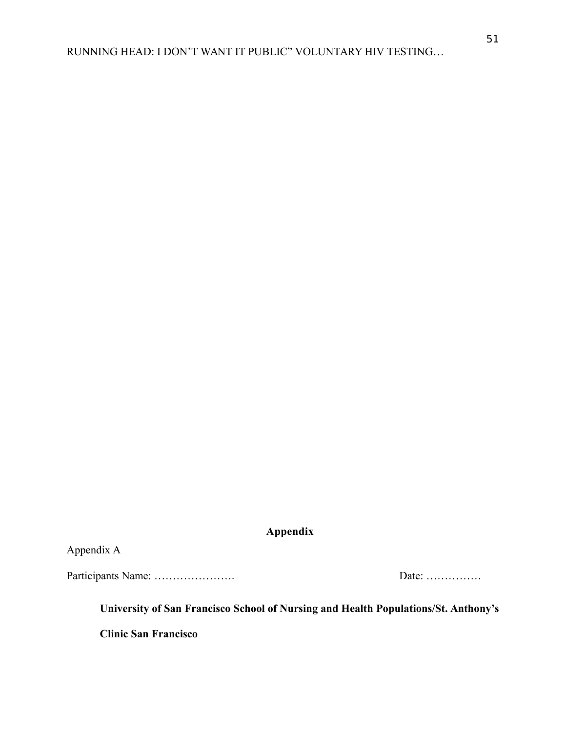<span id="page-51-0"></span>**Appendix**

<span id="page-51-1"></span>Appendix A

Participants Name: …………………. Date: ……………

**University of San Francisco School of Nursing and Health Populations/St. Anthony's**

**Clinic San Francisco**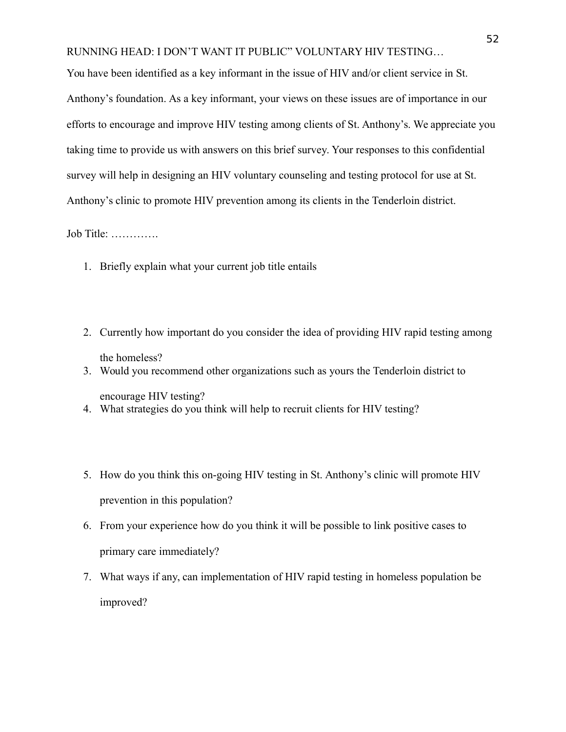You have been identified as a key informant in the issue of HIV and/or client service in St. Anthony's foundation. As a key informant, your views on these issues are of importance in our efforts to encourage and improve HIV testing among clients of St. Anthony's. We appreciate you taking time to provide us with answers on this brief survey. Your responses to this confidential survey will help in designing an HIV voluntary counseling and testing protocol for use at St. Anthony's clinic to promote HIV prevention among its clients in the Tenderloin district.

Job Title: ………….

- 1. Briefly explain what your current job title entails
- 2. Currently how important do you consider the idea of providing HIV rapid testing among the homeless?
- 3. Would you recommend other organizations such as yours the Tenderloin district to

encourage HIV testing?

- 4. What strategies do you think will help to recruit clients for HIV testing?
- 5. How do you think this on-going HIV testing in St. Anthony's clinic will promote HIV prevention in this population?
- 6. From your experience how do you think it will be possible to link positive cases to primary care immediately?
- 7. What ways if any, can implementation of HIV rapid testing in homeless population be improved?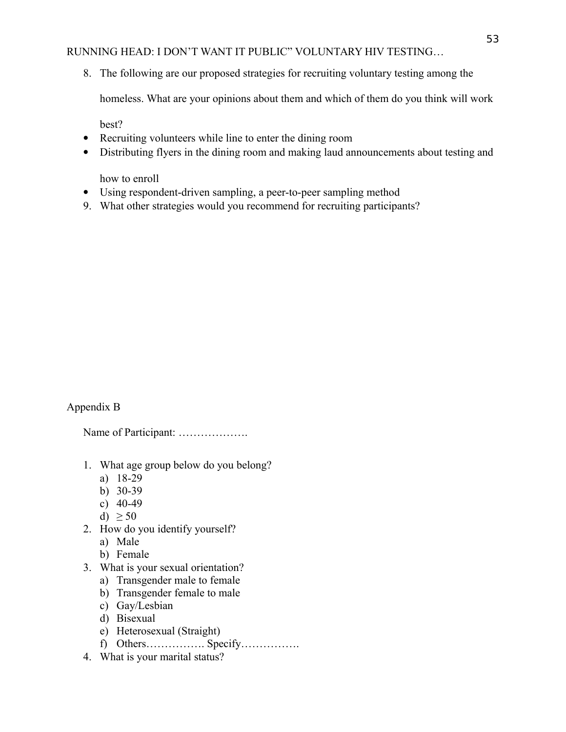8. The following are our proposed strategies for recruiting voluntary testing among the

homeless. What are your opinions about them and which of them do you think will work

best?

- Recruiting volunteers while line to enter the dining room
- Distributing flyers in the dining room and making laud announcements about testing and

how to enroll

- Using respondent-driven sampling, a peer-to-peer sampling method
- 9. What other strategies would you recommend for recruiting participants?

# <span id="page-53-0"></span>Appendix B

Name of Participant: ……………….

- 1. What age group below do you belong?
	- a) 18-29
	- b) 30-39
	- c) 40-49
	- d)  $\geq 50$
- 2. How do you identify yourself?
	- a) Male
	- b) Female
- 3. What is your sexual orientation?
	- a) Transgender male to female
	- b) Transgender female to male
	- c) Gay/Lesbian
	- d) Bisexual
	- e) Heterosexual (Straight)
	- f) Others……………. Specify…………….
- 4. What is your marital status?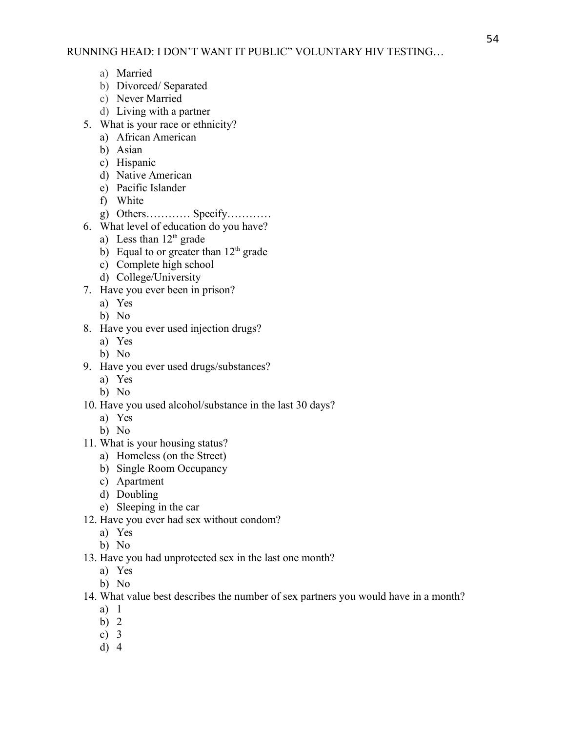- a) Married
- b) Divorced/ Separated
- c) Never Married
- d) Living with a partner
- 5. What is your race or ethnicity?
	- a) African American
	- b) Asian
	- c) Hispanic
	- d) Native American
	- e) Pacific Islander
	- f) White
	- g) Others………… Specify…………
- 6. What level of education do you have?
	- a) Less than  $12<sup>th</sup>$  grade
	- b) Equal to or greater than  $12<sup>th</sup>$  grade
	- c) Complete high school
	- d) College/University
- 7. Have you ever been in prison?
	- a) Yes
	- b) No
- 8. Have you ever used injection drugs?
	- a) Yes
	- b) No
- 9. Have you ever used drugs/substances?
	- a) Yes
	- b) No
- 10. Have you used alcohol/substance in the last 30 days?
	- a) Yes
	- b) No
- 11. What is your housing status?
	- a) Homeless (on the Street)
	- b) Single Room Occupancy
	- c) Apartment
	- d) Doubling
	- e) Sleeping in the car
- 12. Have you ever had sex without condom?
	- a) Yes
	- b) No
- 13. Have you had unprotected sex in the last one month?
	- a) Yes
	- b) No
- 14. What value best describes the number of sex partners you would have in a month?
	- a) 1
	- b) 2
	- c) 3
	- d) 4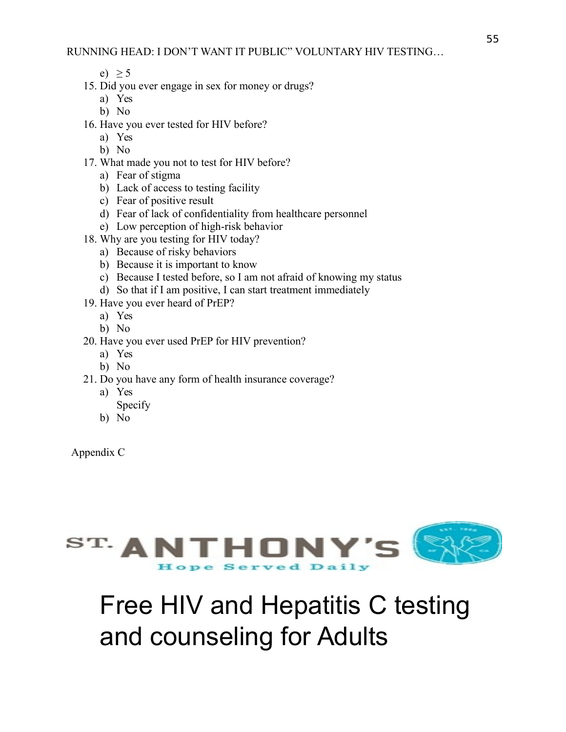- e)  $> 5$
- 15. Did you ever engage in sex for money or drugs?
	- a) Yes
	- b) No
- 16. Have you ever tested for HIV before?
	- a) Yes
	- b) No
- 17. What made you not to test for HIV before?
	- a) Fear of stigma
	- b) Lack of access to testing facility
	- c) Fear of positive result
	- d) Fear of lack of confidentiality from healthcare personnel
	- e) Low perception of high-risk behavior
- 18. Why are you testing for HIV today?
	- a) Because of risky behaviors
	- b) Because it is important to know
	- c) Because I tested before, so I am not afraid of knowing my status
	- d) So that if I am positive, I can start treatment immediately
- 19. Have you ever heard of PrEP?
	- a) Yes
		- b) No
- 20. Have you ever used PrEP for HIV prevention?
	- a) Yes
	- b) No
- 21. Do you have any form of health insurance coverage?
	- a) Yes
		- Specify
	- b) No

<span id="page-55-0"></span>Appendix C



# Free HIV and Hepatitis C testing and counseling for Adults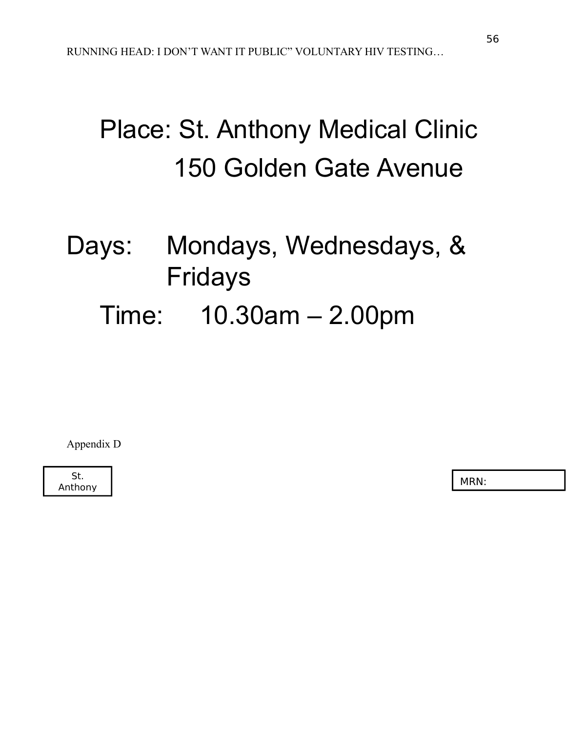# Place: St. Anthony Medical Clinic 150 Golden Gate Avenue

# Days: Mondays, Wednesdays, & Fridays

# Time: 10.30am – 2.00pm

<span id="page-56-0"></span>Appendix D

St. Anthony MRN: Nothing the Mathematic Street (MRN: Nothing the MRN: Nothing the MRN: Nothing the MRN: Nothing the MRN: Nothing the MRN: Nothing the MRN: Nothing the MRN: Nothing the MRN: Nothing the MRN: Nothing the MRN: Not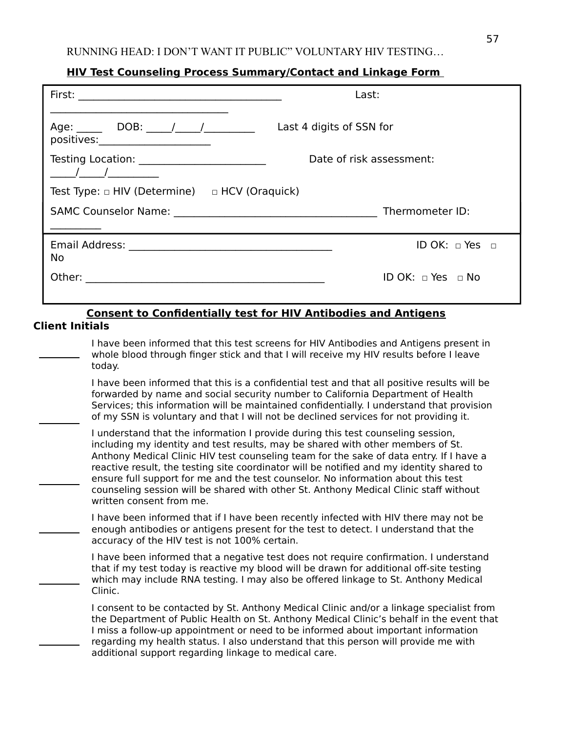# **HIV Test Counseling Process Summary/Contact and Linkage Form**

|                                                                                                                                                                                                                                                                                                                                                                    | Last:                                                                                                                                                                                                                                                                                                                                                                |
|--------------------------------------------------------------------------------------------------------------------------------------------------------------------------------------------------------------------------------------------------------------------------------------------------------------------------------------------------------------------|----------------------------------------------------------------------------------------------------------------------------------------------------------------------------------------------------------------------------------------------------------------------------------------------------------------------------------------------------------------------|
| positives:_____________________                                                                                                                                                                                                                                                                                                                                    | Age: DOB: / / / / Last 4 digits of SSN for                                                                                                                                                                                                                                                                                                                           |
| Testing Location: _________________________<br>$\frac{1}{2}$ $\frac{1}{2}$ $\frac{1}{2}$ $\frac{1}{2}$ $\frac{1}{2}$ $\frac{1}{2}$ $\frac{1}{2}$ $\frac{1}{2}$ $\frac{1}{2}$ $\frac{1}{2}$ $\frac{1}{2}$ $\frac{1}{2}$ $\frac{1}{2}$ $\frac{1}{2}$ $\frac{1}{2}$ $\frac{1}{2}$ $\frac{1}{2}$ $\frac{1}{2}$ $\frac{1}{2}$ $\frac{1}{2}$ $\frac{1}{2}$ $\frac{1}{2}$ | Date of risk assessment:                                                                                                                                                                                                                                                                                                                                             |
| Test Type: $\Box$ HIV (Determine) $\Box$ HCV (Oraquick)                                                                                                                                                                                                                                                                                                            |                                                                                                                                                                                                                                                                                                                                                                      |
|                                                                                                                                                                                                                                                                                                                                                                    |                                                                                                                                                                                                                                                                                                                                                                      |
| <b>No</b>                                                                                                                                                                                                                                                                                                                                                          | ID OK: $\Box$ Yes $\Box$                                                                                                                                                                                                                                                                                                                                             |
|                                                                                                                                                                                                                                                                                                                                                                    | ID OK: $\Box$ Yes $\Box$ No                                                                                                                                                                                                                                                                                                                                          |
| <b>Client Initials</b>                                                                                                                                                                                                                                                                                                                                             | <b>Consent to Confidentially test for HIV Antibodies and Antigens</b>                                                                                                                                                                                                                                                                                                |
| today.                                                                                                                                                                                                                                                                                                                                                             | I have been informed that this test screens for HIV Antibodies and Antigens present in<br>whole blood through finger stick and that I will receive my HIV results before I leave                                                                                                                                                                                     |
|                                                                                                                                                                                                                                                                                                                                                                    | I have been informed that this is a confidential test and that all positive results will be<br>forwarded by name and social security number to California Department of Health<br>Services; this information will be maintained confidentially. I understand that provision<br>of my SSN is voluntary and that I will not be declined services for not providing it. |
|                                                                                                                                                                                                                                                                                                                                                                    | I understand that the information I provide during this test counseling session,<br>including my identity and test results, may be shared with other members of St.<br>Anthony Medical Clinic HIV test counseling team for the sake of data entry. If I have a<br>reactive result, the testing site coordinator will be notified and my identity shared to           |

| ensure full support for me and the test counselor. No information about this test     |
|---------------------------------------------------------------------------------------|
| counseling session will be shared with other St. Anthony Medical Clinic staff without |
| written consent from me.                                                              |

I have been informed that if I have been recently infected with HIV there may not be enough antibodies or antigens present for the test to detect. I understand that the accuracy of the HIV test is not 100% certain.

I have been informed that a negative test does not require confirmation. I understand that if my test today is reactive my blood will be drawn for additional off-site testing which may include RNA testing. I may also be offered linkage to St. Anthony Medical Clinic.

I consent to be contacted by St. Anthony Medical Clinic and/or a linkage specialist from the Department of Public Health on St. Anthony Medical Clinic's behalf in the event that I miss a follow-up appointment or need to be informed about important information regarding my health status. I also understand that this person will provide me with additional support regarding linkage to medical care.